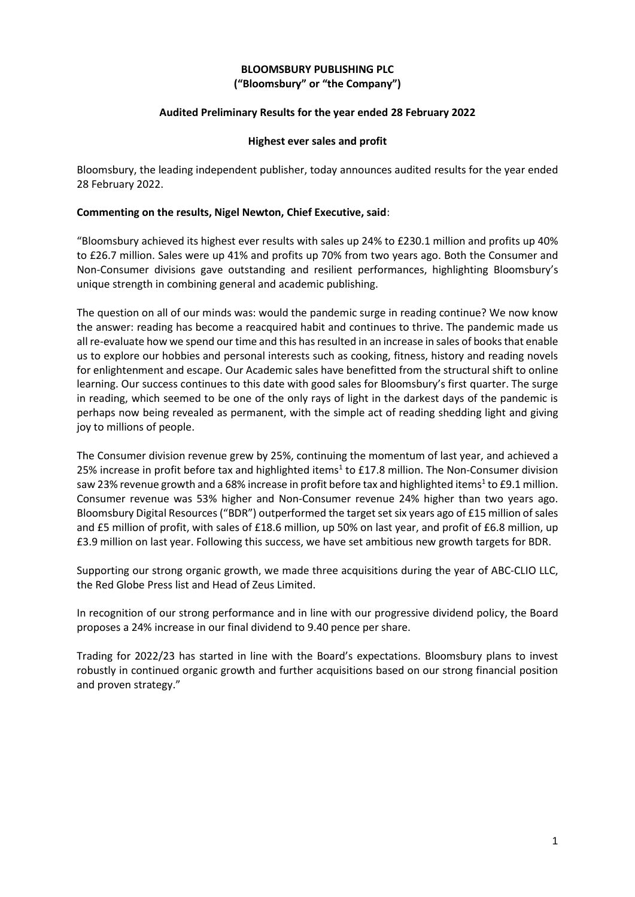### **BLOOMSBURY PUBLISHING PLC ("Bloomsbury" or "the Company")**

### **Audited Preliminary Results for the year ended 28 February 2022**

### **Highest ever sales and profit**

Bloomsbury, the leading independent publisher, today announces audited results for the year ended 28 February 2022.

### **Commenting on the results, Nigel Newton, Chief Executive, said**:

"Bloomsbury achieved its highest ever results with sales up 24% to £230.1 million and profits up 40% to £26.7 million. Sales were up 41% and profits up 70% from two years ago. Both the Consumer and Non-Consumer divisions gave outstanding and resilient performances, highlighting Bloomsbury's unique strength in combining general and academic publishing.

The question on all of our minds was: would the pandemic surge in reading continue? We now know the answer: reading has become a reacquired habit and continues to thrive. The pandemic made us all re-evaluate how we spend our time and this has resulted in an increase in sales of books that enable us to explore our hobbies and personal interests such as cooking, fitness, history and reading novels for enlightenment and escape. Our Academic sales have benefitted from the structural shift to online learning. Our success continues to this date with good sales for Bloomsbury's first quarter. The surge in reading, which seemed to be one of the only rays of light in the darkest days of the pandemic is perhaps now being revealed as permanent, with the simple act of reading shedding light and giving joy to millions of people.

The Consumer division revenue grew by 25%, continuing the momentum of last year, and achieved a 25% increase in profit before tax and highlighted items<sup>1</sup> to £17.8 million. The Non-Consumer division saw 23% revenue growth and a 68% increase in profit before tax and highlighted items<sup>1</sup> to £9.1 million. Consumer revenue was 53% higher and Non-Consumer revenue 24% higher than two years ago. Bloomsbury Digital Resources ("BDR") outperformed the target set six years ago of £15 million of sales and £5 million of profit, with sales of £18.6 million, up 50% on last year, and profit of £6.8 million, up £3.9 million on last year. Following this success, we have set ambitious new growth targets for BDR.

Supporting our strong organic growth, we made three acquisitions during the year of ABC-CLIO LLC, the Red Globe Press list and Head of Zeus Limited.

In recognition of our strong performance and in line with our progressive dividend policy, the Board proposes a 24% increase in our final dividend to 9.40 pence per share.

Trading for 2022/23 has started in line with the Board's expectations. Bloomsbury plans to invest robustly in continued organic growth and further acquisitions based on our strong financial position and proven strategy."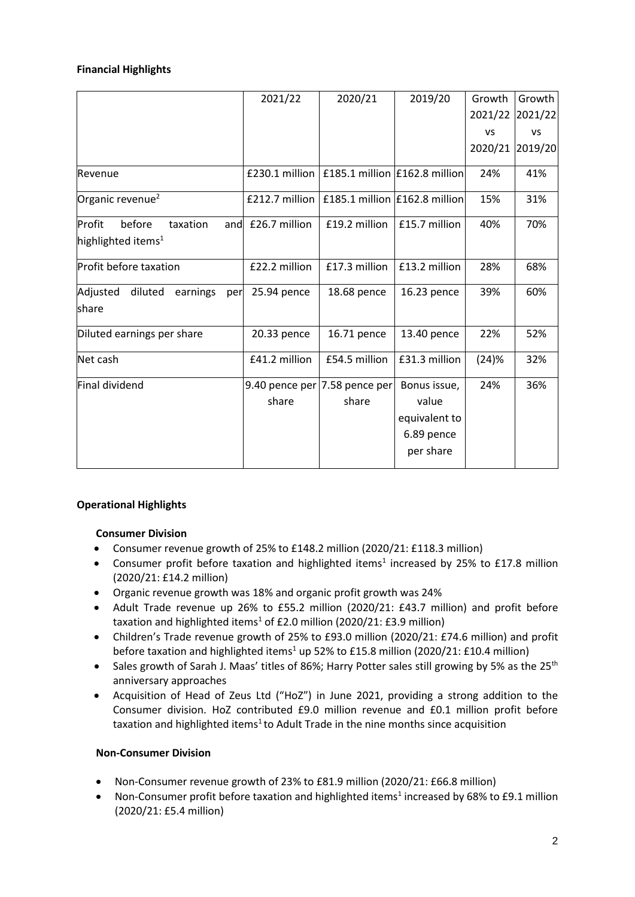### **Financial Highlights**

|                                                                       | 2021/22        | 2020/21                       | 2019/20       | Growth          | Growth    |
|-----------------------------------------------------------------------|----------------|-------------------------------|---------------|-----------------|-----------|
|                                                                       |                |                               |               | 2021/22 2021/22 |           |
|                                                                       |                |                               |               | VS              | <b>VS</b> |
|                                                                       |                |                               |               | 2020/21         | 2019/20   |
| Revenue                                                               | £230.1 million | £185.1 million £162.8 million |               | 24%             | 41%       |
| Organic revenue <sup>2</sup>                                          | £212.7 million | £185.1 million £162.8 million |               | 15%             | 31%       |
| before<br>taxation<br>Profit<br>and<br>highlighted items <sup>1</sup> | £26.7 million  | £19.2 million                 | £15.7 million | 40%             | 70%       |
| Profit before taxation                                                | £22.2 million  | £17.3 million                 | £13.2 million | 28%             | 68%       |
| Adjusted<br>diluted<br>earnings<br>per                                | 25.94 pence    | 18.68 pence                   | 16.23 pence   | 39%             | 60%       |
| share                                                                 |                |                               |               |                 |           |
| Diluted earnings per share                                            | 20.33 pence    | 16.71 pence                   | 13.40 pence   | 22%             | 52%       |
| Net cash                                                              | £41.2 million  | £54.5 million                 | £31.3 million | (24)%           | 32%       |
| Final dividend                                                        |                | 9.40 pence per 7.58 pence per | Bonus issue,  | 24%             | 36%       |
|                                                                       | share          | share                         | value         |                 |           |
|                                                                       |                |                               | equivalent to |                 |           |
|                                                                       |                |                               | 6.89 pence    |                 |           |
|                                                                       |                |                               | per share     |                 |           |
|                                                                       |                |                               |               |                 |           |

### **Operational Highlights**

### **Consumer Division**

- Consumer revenue growth of 25% to £148.2 million (2020/21: £118.3 million)
- Consumer profit before taxation and highlighted items<sup>1</sup> increased by 25% to £17.8 million (2020/21: £14.2 million)
- Organic revenue growth was 18% and organic profit growth was 24%
- Adult Trade revenue up 26% to £55.2 million (2020/21: £43.7 million) and profit before taxation and highlighted items<sup>1</sup> of £2.0 million (2020/21: £3.9 million)
- Children's Trade revenue growth of 25% to £93.0 million (2020/21: £74.6 million) and profit before taxation and highlighted items<sup>1</sup> up 52% to £15.8 million (2020/21: £10.4 million)
- Sales growth of Sarah J. Maas' titles of 86%; Harry Potter sales still growing by 5% as the 25<sup>th</sup> anniversary approaches
- Acquisition of Head of Zeus Ltd ("HoZ") in June 2021, providing a strong addition to the Consumer division. HoZ contributed £9.0 million revenue and £0.1 million profit before taxation and highlighted items<sup>1</sup> to Adult Trade in the nine months since acquisition

### **Non-Consumer Division**

- Non-Consumer revenue growth of 23% to £81.9 million (2020/21: £66.8 million)
- Non-Consumer profit before taxation and highlighted items<sup>1</sup> increased by 68% to £9.1 million (2020/21: £5.4 million)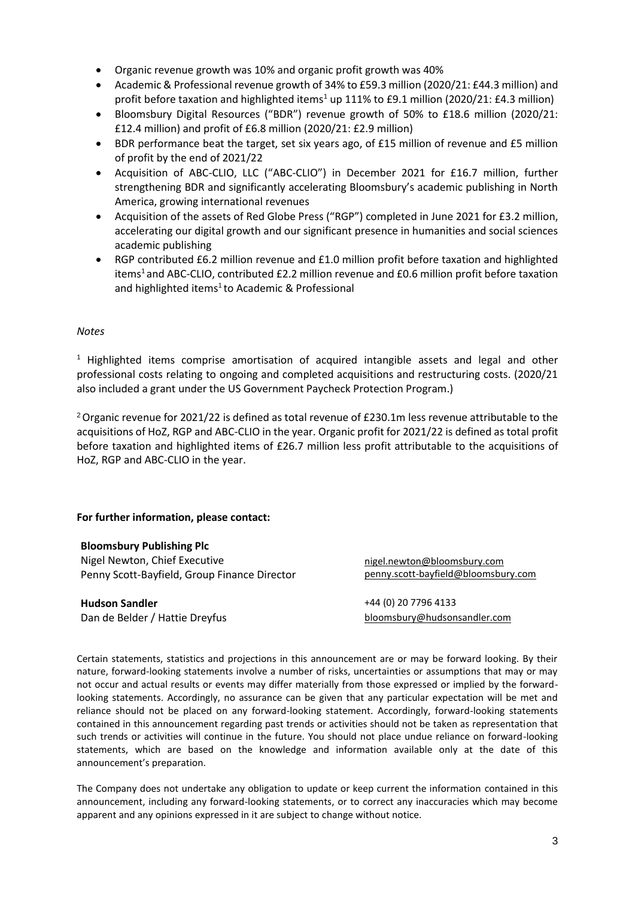- Organic revenue growth was 10% and organic profit growth was 40%
- Academic & Professional revenue growth of 34% to £59.3 million (2020/21: £44.3 million) and profit before taxation and highlighted items<sup>1</sup> up 111% to £9.1 million (2020/21: £4.3 million)
- Bloomsbury Digital Resources ("BDR") revenue growth of 50% to £18.6 million (2020/21: £12.4 million) and profit of £6.8 million (2020/21: £2.9 million)
- BDR performance beat the target, set six years ago, of £15 million of revenue and £5 million of profit by the end of 2021/22
- Acquisition of ABC-CLIO, LLC ("ABC-CLIO") in December 2021 for £16.7 million, further strengthening BDR and significantly accelerating Bloomsbury's academic publishing in North America, growing international revenues
- Acquisition of the assets of Red Globe Press ("RGP") completed in June 2021 for £3.2 million, accelerating our digital growth and our significant presence in humanities and social sciences academic publishing
- RGP contributed £6.2 million revenue and £1.0 million profit before taxation and highlighted items<sup>1</sup> and ABC-CLIO, contributed £2.2 million revenue and £0.6 million profit before taxation and highlighted items<sup>1</sup> to Academic & Professional

### *Notes*

<sup>1</sup> Highlighted items comprise amortisation of acquired intangible assets and legal and other professional costs relating to ongoing and completed acquisitions and restructuring costs. (2020/21 also included a grant under the US Government Paycheck Protection Program.)

<sup>2</sup>Organic revenue for 2021/22 is defined as total revenue of £230.1m less revenue attributable to the acquisitions of HoZ, RGP and ABC-CLIO in the year. Organic profit for 2021/22 is defined as total profit before taxation and highlighted items of £26.7 million less profit attributable to the acquisitions of HoZ, RGP and ABC-CLIO in the year.

### **For further information, please contact:**

**Bloomsbury Publishing Plc** Nigel Newton, Chief Executive Penny Scott-Bayfield, Group Finance Director

**Hudson Sandler** +44 (0) 20 7796 4133

[nigel.newton@bloomsbury.com](mailto:nigel.newton@bloomsbury.com) penny.scott-bayfield@bloomsbury.com

Dan de Belder / Hattie Dreyfus [bloomsbury@hudsonsandler.com](mailto:bloomsbury@hudsonsandler.com)

Certain statements, statistics and projections in this announcement are or may be forward looking. By their nature, forward-looking statements involve a number of risks, uncertainties or assumptions that may or may not occur and actual results or events may differ materially from those expressed or implied by the forwardlooking statements. Accordingly, no assurance can be given that any particular expectation will be met and reliance should not be placed on any forward-looking statement. Accordingly, forward-looking statements contained in this announcement regarding past trends or activities should not be taken as representation that such trends or activities will continue in the future. You should not place undue reliance on forward-looking statements, which are based on the knowledge and information available only at the date of this announcement's preparation.

The Company does not undertake any obligation to update or keep current the information contained in this announcement, including any forward-looking statements, or to correct any inaccuracies which may become apparent and any opinions expressed in it are subject to change without notice.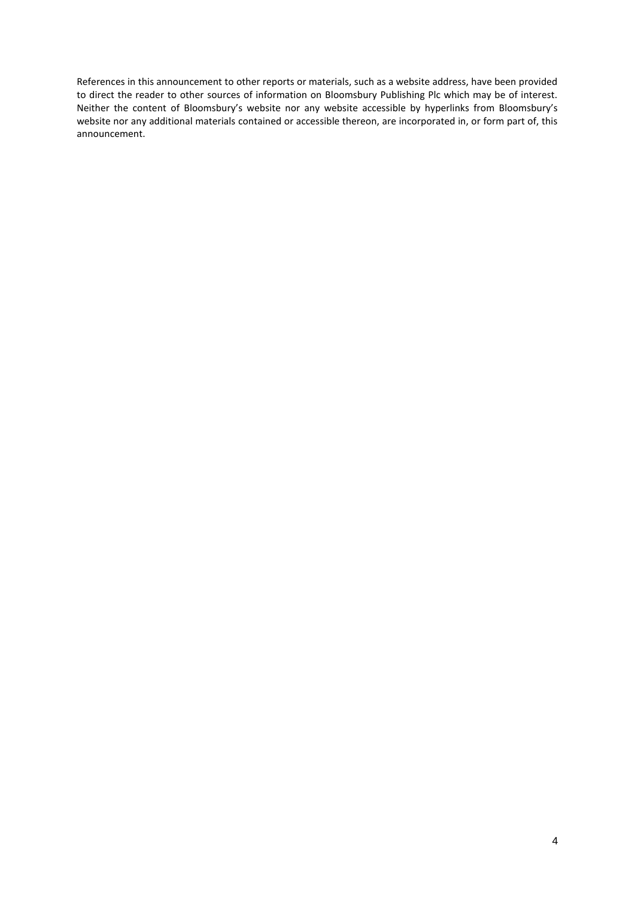References in this announcement to other reports or materials, such as a website address, have been provided to direct the reader to other sources of information on Bloomsbury Publishing Plc which may be of interest. Neither the content of Bloomsbury's website nor any website accessible by hyperlinks from Bloomsbury's website nor any additional materials contained or accessible thereon, are incorporated in, or form part of, this announcement.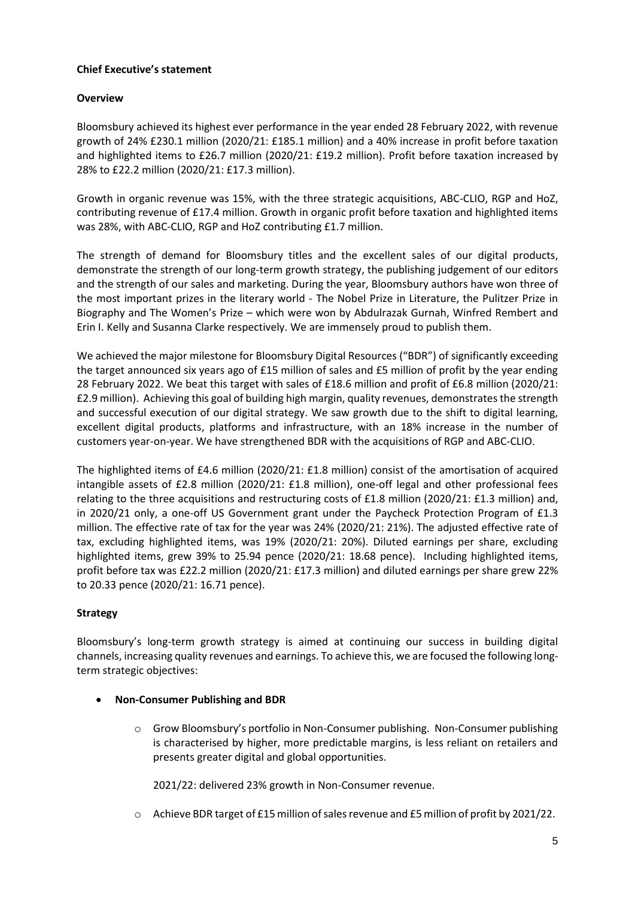### **Chief Executive's statement**

### **Overview**

Bloomsbury achieved its highest ever performance in the year ended 28 February 2022, with revenue growth of 24% £230.1 million (2020/21: £185.1 million) and a 40% increase in profit before taxation and highlighted items to £26.7 million (2020/21: £19.2 million). Profit before taxation increased by 28% to £22.2 million (2020/21: £17.3 million).

Growth in organic revenue was 15%, with the three strategic acquisitions, ABC-CLIO, RGP and HoZ, contributing revenue of £17.4 million. Growth in organic profit before taxation and highlighted items was 28%, with ABC-CLIO, RGP and HoZ contributing £1.7 million.

The strength of demand for Bloomsbury titles and the excellent sales of our digital products, demonstrate the strength of our long-term growth strategy, the publishing judgement of our editors and the strength of our sales and marketing. During the year, Bloomsbury authors have won three of the most important prizes in the literary world - The Nobel Prize in Literature, the Pulitzer Prize in Biography and The Women's Prize – which were won by Abdulrazak Gurnah, Winfred Rembert and Erin I. Kelly and Susanna Clarke respectively. We are immensely proud to publish them.

We achieved the major milestone for Bloomsbury Digital Resources ("BDR") of significantly exceeding the target announced six years ago of £15 million of sales and £5 million of profit by the year ending 28 February 2022. We beat this target with sales of £18.6 million and profit of £6.8 million (2020/21: £2.9 million). Achieving this goal of building high margin, quality revenues, demonstrates the strength and successful execution of our digital strategy. We saw growth due to the shift to digital learning, excellent digital products, platforms and infrastructure, with an 18% increase in the number of customers year-on-year. We have strengthened BDR with the acquisitions of RGP and ABC-CLIO.

The highlighted items of £4.6 million (2020/21: £1.8 million) consist of the amortisation of acquired intangible assets of £2.8 million (2020/21: £1.8 million), one-off legal and other professional fees relating to the three acquisitions and restructuring costs of £1.8 million (2020/21: £1.3 million) and, in 2020/21 only, a one-off US Government grant under the Paycheck Protection Program of £1.3 million. The effective rate of tax for the year was 24% (2020/21: 21%). The adjusted effective rate of tax, excluding highlighted items, was 19% (2020/21: 20%). Diluted earnings per share, excluding highlighted items, grew 39% to 25.94 pence (2020/21: 18.68 pence). Including highlighted items, profit before tax was £22.2 million (2020/21: £17.3 million) and diluted earnings per share grew 22% to 20.33 pence (2020/21: 16.71 pence).

### **Strategy**

Bloomsbury's long-term growth strategy is aimed at continuing our success in building digital channels, increasing quality revenues and earnings. To achieve this, we are focused the following longterm strategic objectives:

- **Non-Consumer Publishing and BDR**
	- o Grow Bloomsbury's portfolio in Non-Consumer publishing. Non-Consumer publishing is characterised by higher, more predictable margins, is less reliant on retailers and presents greater digital and global opportunities.

2021/22: delivered 23% growth in Non-Consumer revenue.

o Achieve BDR target of £15 million of sales revenue and £5 million of profit by 2021/22.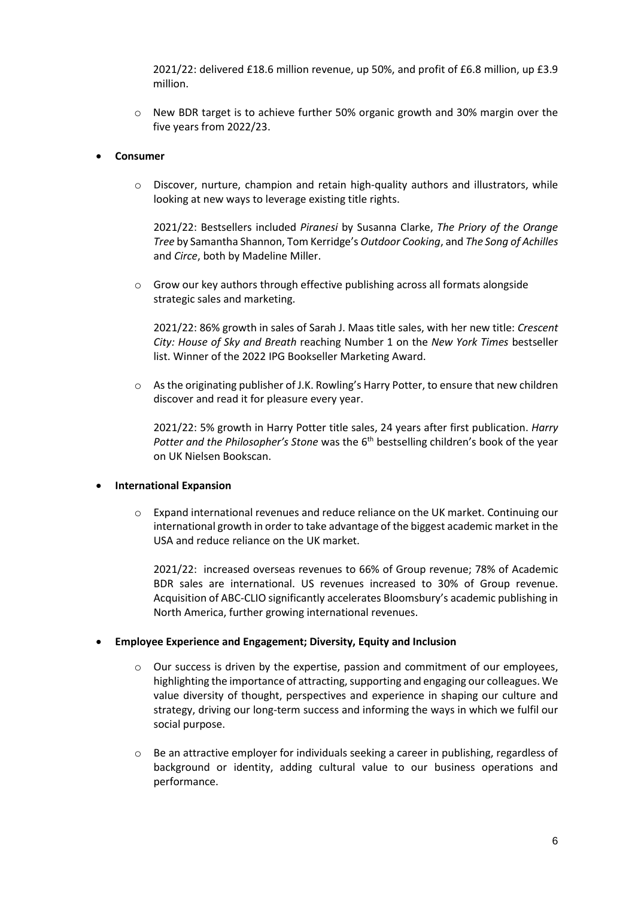2021/22: delivered £18.6 million revenue, up 50%, and profit of £6.8 million, up £3.9 million.

o New BDR target is to achieve further 50% organic growth and 30% margin over the five years from 2022/23.

### • **Consumer**

 $\circ$  Discover, nurture, champion and retain high-quality authors and illustrators, while looking at new ways to leverage existing title rights.

2021/22: Bestsellers included *Piranesi* by Susanna Clarke, *The Priory of the Orange Tree* by Samantha Shannon, Tom Kerridge's *Outdoor Cooking*, and *The Song of Achilles*  and *Circe*, both by Madeline Miller.

o Grow our key authors through effective publishing across all formats alongside strategic sales and marketing.

2021/22: 86% growth in sales of Sarah J. Maas title sales, with her new title: *Crescent City: House of Sky and Breath* reaching Number 1 on the *New York Times* bestseller list. Winner of the 2022 IPG Bookseller Marketing Award.

o As the originating publisher of J.K. Rowling's Harry Potter, to ensure that new children discover and read it for pleasure every year.

2021/22: 5% growth in Harry Potter title sales, 24 years after first publication. *Harry Potter and the Philosopher's Stone* was the 6th bestselling children's book of the year on UK Nielsen Bookscan.

### • **International Expansion**

o Expand international revenues and reduce reliance on the UK market. Continuing our international growth in order to take advantage of the biggest academic market in the USA and reduce reliance on the UK market.

2021/22: increased overseas revenues to 66% of Group revenue; 78% of Academic BDR sales are international. US revenues increased to 30% of Group revenue. Acquisition of ABC-CLIO significantly accelerates Bloomsbury's academic publishing in North America, further growing international revenues.

### • **Employee Experience and Engagement; Diversity, Equity and Inclusion**

- o Our success is driven by the expertise, passion and commitment of our employees, highlighting the importance of attracting, supporting and engaging our colleagues. We value diversity of thought, perspectives and experience in shaping our culture and strategy, driving our long-term success and informing the ways in which we fulfil our social purpose.
- $\circ$  Be an attractive employer for individuals seeking a career in publishing, regardless of background or identity, adding cultural value to our business operations and performance.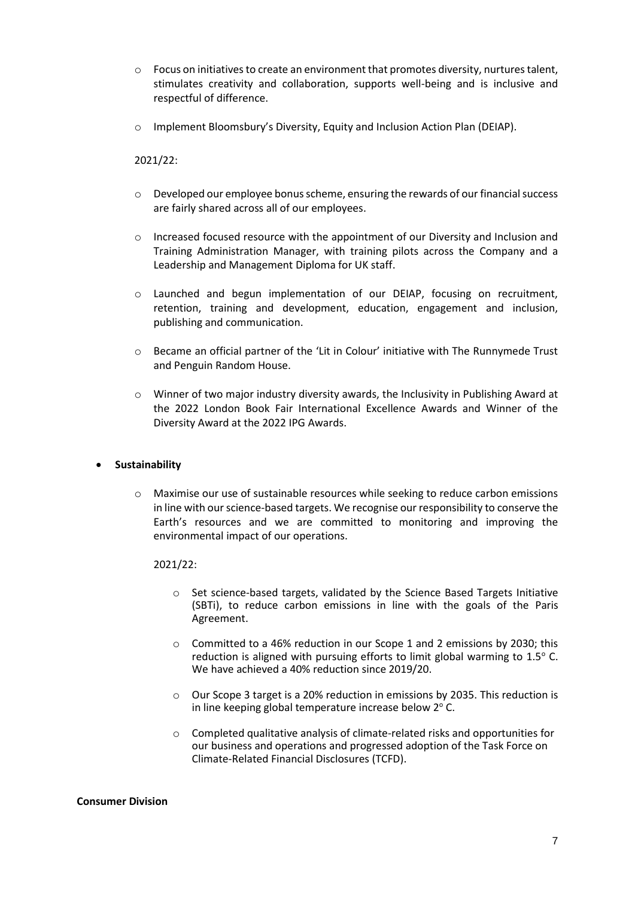- $\circ$  Focus on initiatives to create an environment that promotes diversity, nurtures talent, stimulates creativity and collaboration, supports well-being and is inclusive and respectful of difference.
- o Implement Bloomsbury's Diversity, Equity and Inclusion Action Plan (DEIAP).

### 2021/22:

- $\circ$  Developed our employee bonus scheme, ensuring the rewards of our financial success are fairly shared across all of our employees.
- o Increased focused resource with the appointment of our Diversity and Inclusion and Training Administration Manager, with training pilots across the Company and a Leadership and Management Diploma for UK staff.
- o Launched and begun implementation of our DEIAP, focusing on recruitment, retention, training and development, education, engagement and inclusion, publishing and communication.
- o Became an official partner of the 'Lit in Colour' initiative with The Runnymede Trust and Penguin Random House.
- o Winner of two major industry diversity awards, the Inclusivity in Publishing Award at the 2022 London Book Fair International Excellence Awards and Winner of the Diversity Award at the 2022 IPG Awards.

### • **Sustainability**

 $\circ$  Maximise our use of sustainable resources while seeking to reduce carbon emissions in line with our science-based targets. We recognise our responsibility to conserve the Earth's resources and we are committed to monitoring and improving the environmental impact of our operations.

### 2021/22:

- o Set science-based targets, validated by the Science Based Targets Initiative (SBTi), to reduce carbon emissions in line with the goals of the Paris Agreement.
- o Committed to a 46% reduction in our Scope 1 and 2 emissions by 2030; this reduction is aligned with pursuing efforts to limit global warming to  $1.5^{\circ}$  C. We have achieved a 40% reduction since 2019/20.
- o Our Scope 3 target is a 20% reduction in emissions by 2035. This reduction is in line keeping global temperature increase below  $2^{\circ}$  C.
- o Completed qualitative analysis of climate-related risks and opportunities for our business and operations and progressed adoption of the Task Force on Climate-Related Financial Disclosures (TCFD).

### **Consumer Division**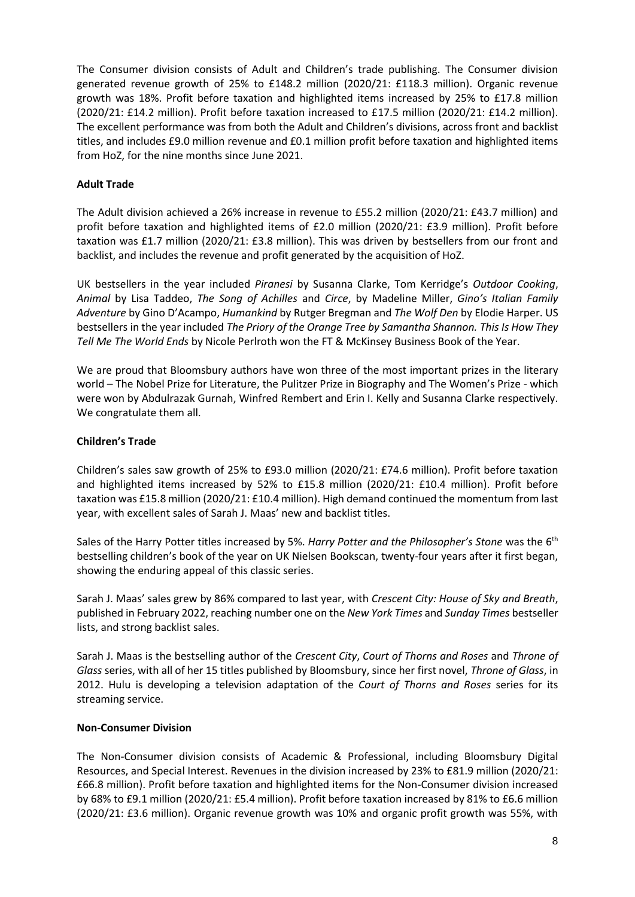The Consumer division consists of Adult and Children's trade publishing. The Consumer division generated revenue growth of 25% to £148.2 million (2020/21: £118.3 million). Organic revenue growth was 18%. Profit before taxation and highlighted items increased by 25% to £17.8 million (2020/21: £14.2 million). Profit before taxation increased to £17.5 million (2020/21: £14.2 million). The excellent performance was from both the Adult and Children's divisions, across front and backlist titles, and includes £9.0 million revenue and £0.1 million profit before taxation and highlighted items from HoZ, for the nine months since June 2021.

### **Adult Trade**

The Adult division achieved a 26% increase in revenue to £55.2 million (2020/21: £43.7 million) and profit before taxation and highlighted items of £2.0 million (2020/21: £3.9 million). Profit before taxation was £1.7 million (2020/21: £3.8 million). This was driven by bestsellers from our front and backlist, and includes the revenue and profit generated by the acquisition of HoZ.

UK bestsellers in the year included *Piranesi* by Susanna Clarke, Tom Kerridge's *Outdoor Cooking*, *Animal* by Lisa Taddeo, *The Song of Achilles* and *Circe*, by Madeline Miller, *Gino's Italian Family Adventure* by Gino D'Acampo, *Humankind* by Rutger Bregman and *The Wolf Den* by Elodie Harper. US bestsellers in the year included *The Priory of the Orange Tree by Samantha Shannon. This Is How They Tell Me The World Ends* by Nicole Perlroth won the FT & McKinsey Business Book of the Year.

We are proud that Bloomsbury authors have won three of the most important prizes in the literary world – The Nobel Prize for Literature, the Pulitzer Prize in Biography and The Women's Prize - which were won by Abdulrazak Gurnah, Winfred Rembert and Erin I. Kelly and Susanna Clarke respectively. We congratulate them all.

### **Children's Trade**

Children's sales saw growth of 25% to £93.0 million (2020/21: £74.6 million). Profit before taxation and highlighted items increased by 52% to £15.8 million (2020/21: £10.4 million). Profit before taxation was £15.8 million (2020/21: £10.4 million). High demand continued the momentum from last year, with excellent sales of Sarah J. Maas' new and backlist titles.

Sales of the Harry Potter titles increased by 5%. Harry Potter and the Philosopher's Stone was the 6<sup>th</sup> bestselling children's book of the year on UK Nielsen Bookscan, twenty-four years after it first began, showing the enduring appeal of this classic series.

Sarah J. Maas' sales grew by 86% compared to last year, with *Crescent City: House of Sky and Breath*, published in February 2022, reaching number one on the *New York Times* and *Sunday Times* bestseller lists, and strong backlist sales.

Sarah J. Maas is the bestselling author of the *Crescent City*, *Court of Thorns and Roses* and *Throne of Glass* series, with all of her 15 titles published by Bloomsbury, since her first novel, *Throne of Glass*, in 2012. Hulu is developing a television adaptation of the *Court of Thorns and Roses* series for its streaming service.

### **Non-Consumer Division**

The Non-Consumer division consists of Academic & Professional, including Bloomsbury Digital Resources, and Special Interest. Revenues in the division increased by 23% to £81.9 million (2020/21: £66.8 million). Profit before taxation and highlighted items for the Non-Consumer division increased by 68% to £9.1 million (2020/21: £5.4 million). Profit before taxation increased by 81% to £6.6 million (2020/21: £3.6 million). Organic revenue growth was 10% and organic profit growth was 55%, with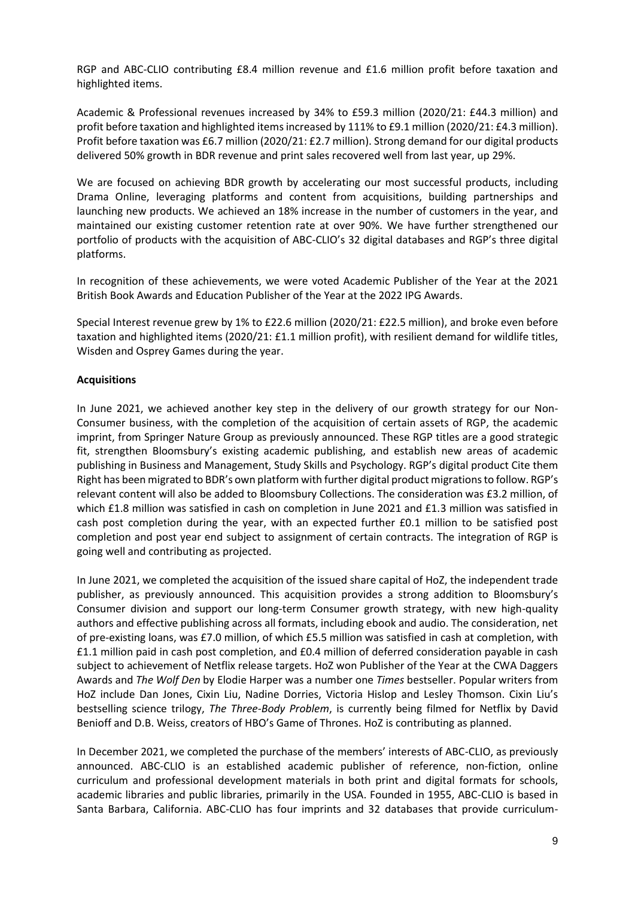RGP and ABC-CLIO contributing £8.4 million revenue and £1.6 million profit before taxation and highlighted items.

Academic & Professional revenues increased by 34% to £59.3 million (2020/21: £44.3 million) and profit before taxation and highlighted items increased by 111% to £9.1 million (2020/21: £4.3 million). Profit before taxation was £6.7 million (2020/21: £2.7 million). Strong demand for our digital products delivered 50% growth in BDR revenue and print sales recovered well from last year, up 29%.

We are focused on achieving BDR growth by accelerating our most successful products, including Drama Online, leveraging platforms and content from acquisitions, building partnerships and launching new products. We achieved an 18% increase in the number of customers in the year, and maintained our existing customer retention rate at over 90%. We have further strengthened our portfolio of products with the acquisition of ABC-CLIO's 32 digital databases and RGP's three digital platforms.

In recognition of these achievements, we were voted Academic Publisher of the Year at the 2021 British Book Awards and Education Publisher of the Year at the 2022 IPG Awards.

Special Interest revenue grew by 1% to £22.6 million (2020/21: £22.5 million), and broke even before taxation and highlighted items (2020/21: £1.1 million profit), with resilient demand for wildlife titles, Wisden and Osprey Games during the year.

### **Acquisitions**

In June 2021, we achieved another key step in the delivery of our growth strategy for our Non-Consumer business, with the completion of the acquisition of certain assets of RGP, the academic imprint, from Springer Nature Group as previously announced. These RGP titles are a good strategic fit, strengthen Bloomsbury's existing academic publishing, and establish new areas of academic publishing in Business and Management, Study Skills and Psychology. RGP's digital product Cite them Right has been migrated to BDR's own platform with further digital product migrations to follow. RGP's relevant content will also be added to Bloomsbury Collections. The consideration was £3.2 million, of which £1.8 million was satisfied in cash on completion in June 2021 and £1.3 million was satisfied in cash post completion during the year, with an expected further £0.1 million to be satisfied post completion and post year end subject to assignment of certain contracts. The integration of RGP is going well and contributing as projected.

In June 2021, we completed the acquisition of the issued share capital of HoZ, the independent trade publisher, as previously announced. This acquisition provides a strong addition to Bloomsbury's Consumer division and support our long-term Consumer growth strategy, with new high-quality authors and effective publishing across all formats, including ebook and audio. The consideration, net of pre-existing loans, was £7.0 million, of which £5.5 million was satisfied in cash at completion, with £1.1 million paid in cash post completion, and £0.4 million of deferred consideration payable in cash subject to achievement of Netflix release targets. HoZ won Publisher of the Year at the CWA Daggers Awards and *The Wolf Den* by Elodie Harper was a number one *Times* bestseller. Popular writers from HoZ include Dan Jones, Cixin Liu, Nadine Dorries, Victoria Hislop and Lesley Thomson. Cixin Liu's bestselling science trilogy, *The Three-Body Problem*, is currently being filmed for Netflix by David Benioff and D.B. Weiss, creators of HBO's Game of Thrones. HoZ is contributing as planned.

In December 2021, we completed the purchase of the members' interests of ABC-CLIO, as previously announced. ABC-CLIO is an established academic publisher of reference, non-fiction, online curriculum and professional development materials in both print and digital formats for schools, academic libraries and public libraries, primarily in the USA. Founded in 1955, ABC-CLIO is based in Santa Barbara, California. ABC-CLIO has four imprints and 32 databases that provide curriculum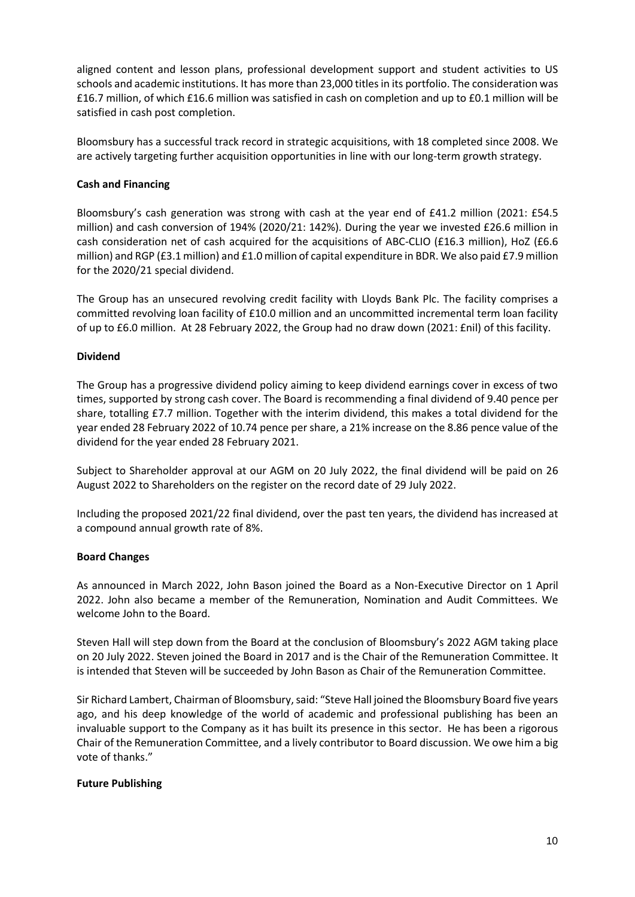aligned content and lesson plans, professional development support and student activities to US schools and academic institutions. It has more than 23,000 titles in its portfolio. The consideration was £16.7 million, of which £16.6 million was satisfied in cash on completion and up to £0.1 million will be satisfied in cash post completion.

Bloomsbury has a successful track record in strategic acquisitions, with 18 completed since 2008. We are actively targeting further acquisition opportunities in line with our long-term growth strategy.

### **Cash and Financing**

Bloomsbury's cash generation was strong with cash at the year end of £41.2 million (2021: £54.5 million) and cash conversion of 194% (2020/21: 142%). During the year we invested £26.6 million in cash consideration net of cash acquired for the acquisitions of ABC-CLIO (£16.3 million), HoZ (£6.6 million) and RGP (£3.1 million) and £1.0 million of capital expenditure in BDR. We also paid £7.9 million for the 2020/21 special dividend.

The Group has an unsecured revolving credit facility with Lloyds Bank Plc. The facility comprises a committed revolving loan facility of £10.0 million and an uncommitted incremental term loan facility of up to £6.0 million. At 28 February 2022, the Group had no draw down (2021: £nil) of this facility.

### **Dividend**

The Group has a progressive dividend policy aiming to keep dividend earnings cover in excess of two times, supported by strong cash cover. The Board is recommending a final dividend of 9.40 pence per share, totalling £7.7 million. Together with the interim dividend, this makes a total dividend for the year ended 28 February 2022 of 10.74 pence per share, a 21% increase on the 8.86 pence value of the dividend for the year ended 28 February 2021.

Subject to Shareholder approval at our AGM on 20 July 2022, the final dividend will be paid on 26 August 2022 to Shareholders on the register on the record date of 29 July 2022.

Including the proposed 2021/22 final dividend, over the past ten years, the dividend has increased at a compound annual growth rate of 8%.

### **Board Changes**

As announced in March 2022, John Bason joined the Board as a Non-Executive Director on 1 April 2022. John also became a member of the Remuneration, Nomination and Audit Committees. We welcome John to the Board.

Steven Hall will step down from the Board at the conclusion of Bloomsbury's 2022 AGM taking place on 20 July 2022. Steven joined the Board in 2017 and is the Chair of the Remuneration Committee. It is intended that Steven will be succeeded by John Bason as Chair of the Remuneration Committee.

Sir Richard Lambert, Chairman of Bloomsbury, said: "Steve Hall joined the Bloomsbury Board five years ago, and his deep knowledge of the world of academic and professional publishing has been an invaluable support to the Company as it has built its presence in this sector. He has been a rigorous Chair of the Remuneration Committee, and a lively contributor to Board discussion. We owe him a big vote of thanks."

### **Future Publishing**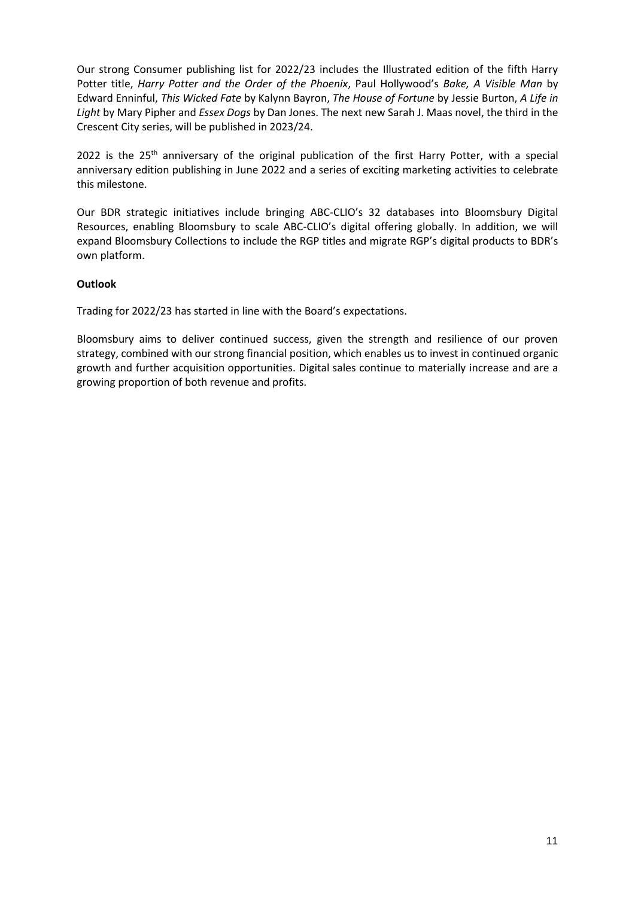Our strong Consumer publishing list for 2022/23 includes the Illustrated edition of the fifth Harry Potter title, *Harry Potter and the Order of the Phoenix*, Paul Hollywood's *Bake, A Visible Man* by Edward Enninful, *This Wicked Fate* by Kalynn Bayron, *The House of Fortune* by Jessie Burton, *A Life in Light* by Mary Pipher and *Essex Dogs* by Dan Jones. The next new Sarah J. Maas novel, the third in the Crescent City series, will be published in 2023/24.

2022 is the  $25<sup>th</sup>$  anniversary of the original publication of the first Harry Potter, with a special anniversary edition publishing in June 2022 and a series of exciting marketing activities to celebrate this milestone.

Our BDR strategic initiatives include bringing ABC-CLIO's 32 databases into Bloomsbury Digital Resources, enabling Bloomsbury to scale ABC-CLIO's digital offering globally. In addition, we will expand Bloomsbury Collections to include the RGP titles and migrate RGP's digital products to BDR's own platform.

### **Outlook**

Trading for 2022/23 has started in line with the Board's expectations.

Bloomsbury aims to deliver continued success, given the strength and resilience of our proven strategy, combined with our strong financial position, which enables us to invest in continued organic growth and further acquisition opportunities. Digital sales continue to materially increase and are a growing proportion of both revenue and profits.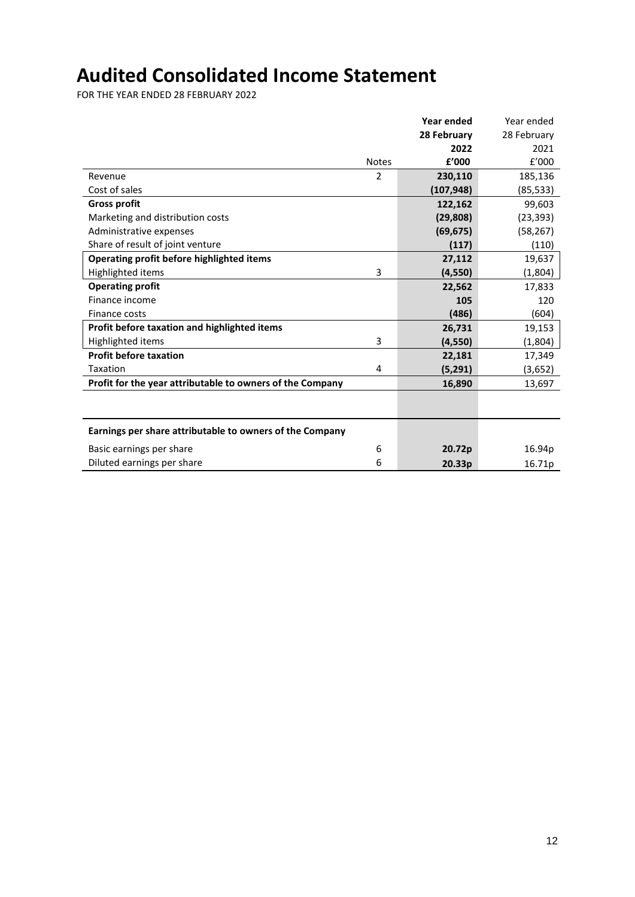# **Audited Consolidated Income Statement**

FOR THE YEAR ENDED 28 FEBRUARY 2022

|                                                           |                | <b>Year ended</b> | Year ended  |
|-----------------------------------------------------------|----------------|-------------------|-------------|
|                                                           |                | 28 February       | 28 February |
|                                                           |                | 2022              | 2021        |
|                                                           | <b>Notes</b>   | £'000             | f'000       |
| Revenue                                                   | $\overline{2}$ | 230,110           | 185,136     |
| Cost of sales                                             |                | (107, 948)        | (85, 533)   |
| <b>Gross profit</b>                                       |                | 122,162           | 99,603      |
| Marketing and distribution costs                          |                | (29, 808)         | (23, 393)   |
| Administrative expenses                                   |                | (69, 675)         | (58, 267)   |
| Share of result of joint venture                          |                | (117)             | (110)       |
| Operating profit before highlighted items                 |                | 27,112            | 19,637      |
| Highlighted items                                         | 3              | (4, 550)          | (1,804)     |
| <b>Operating profit</b>                                   |                | 22,562            | 17,833      |
| Finance income                                            |                | 105               | 120         |
| Finance costs                                             |                | (486)             | (604)       |
| Profit before taxation and highlighted items              |                | 26,731            | 19,153      |
| Highlighted items                                         | 3              | (4, 550)          | (1,804)     |
| <b>Profit before taxation</b>                             |                | 22,181            | 17,349      |
| Taxation                                                  | 4              | (5, 291)          | (3,652)     |
| Profit for the year attributable to owners of the Company |                | 16,890            | 13,697      |
|                                                           |                |                   |             |
|                                                           |                |                   |             |
| Earnings per share attributable to owners of the Company  |                |                   |             |
| Basic earnings per share                                  | 6              | 20.72p            | 16.94p      |
| Diluted earnings per share                                | 6              | 20.33p            | 16.71p      |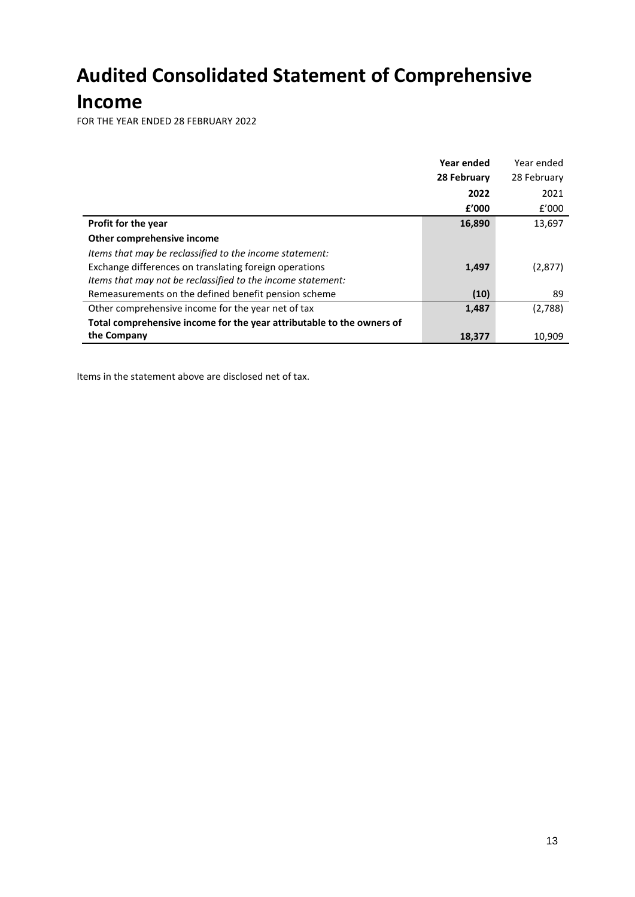# **Audited Consolidated Statement of Comprehensive**

# **Income**

FOR THE YEAR ENDED 28 FEBRUARY 2022

|                                                                       | Year ended  | Year ended  |
|-----------------------------------------------------------------------|-------------|-------------|
|                                                                       | 28 February | 28 February |
|                                                                       | 2022        | 2021        |
|                                                                       | f'000       | f'000       |
| <b>Profit for the year</b>                                            | 16,890      | 13,697      |
| Other comprehensive income                                            |             |             |
| Items that may be reclassified to the income statement:               |             |             |
| Exchange differences on translating foreign operations                | 1,497       | (2,877)     |
| Items that may not be reclassified to the income statement:           |             |             |
| Remeasurements on the defined benefit pension scheme                  | (10)        | 89          |
| Other comprehensive income for the year net of tax                    | 1,487       | (2,788)     |
| Total comprehensive income for the year attributable to the owners of |             |             |
| the Company                                                           | 18,377      | 10,909      |

Items in the statement above are disclosed net of tax.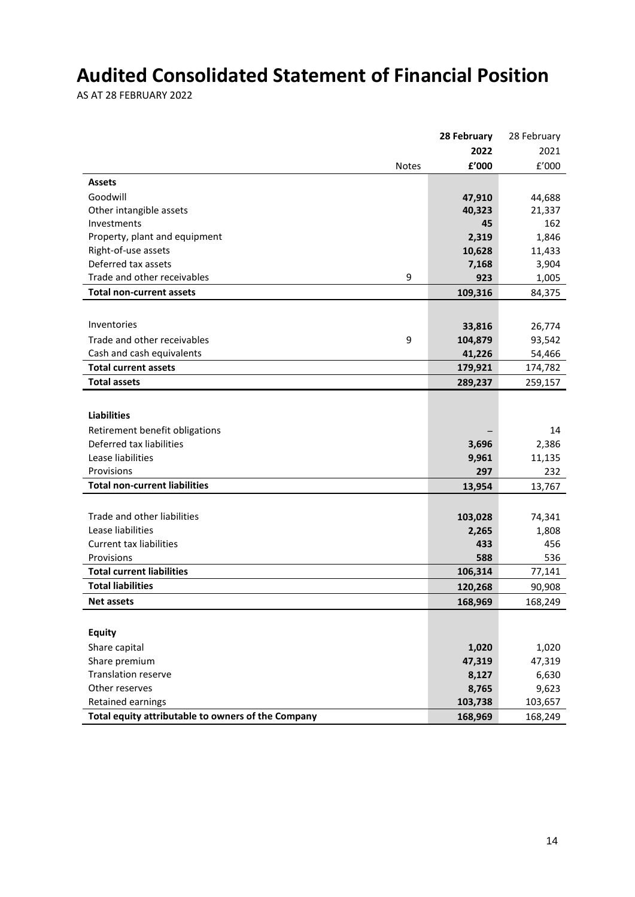# **Audited Consolidated Statement of Financial Position**

AS AT 28 FEBRUARY 2022

|                                                    | 28 February  | 28 February   |
|----------------------------------------------------|--------------|---------------|
|                                                    | 2022         | 2021          |
| <b>Notes</b>                                       | £'000        | f'000         |
| <b>Assets</b>                                      |              |               |
| Goodwill                                           | 47,910       | 44,688        |
| Other intangible assets                            | 40,323       | 21,337        |
| Investments                                        | 45           | 162           |
| Property, plant and equipment                      | 2,319        | 1,846         |
| Right-of-use assets                                | 10,628       | 11,433        |
| Deferred tax assets                                | 7,168        | 3,904         |
| Trade and other receivables<br>9                   | 923          | 1,005         |
| <b>Total non-current assets</b>                    | 109,316      | 84,375        |
|                                                    |              |               |
| Inventories                                        | 33,816       | 26,774        |
| Trade and other receivables<br>9                   | 104,879      | 93,542        |
| Cash and cash equivalents                          | 41,226       | 54,466        |
| <b>Total current assets</b>                        | 179,921      | 174,782       |
| <b>Total assets</b>                                | 289,237      | 259,157       |
|                                                    |              |               |
| <b>Liabilities</b>                                 |              |               |
| Retirement benefit obligations                     |              | 14            |
| Deferred tax liabilities                           | 3,696        | 2,386         |
| Lease liabilities                                  | 9,961        | 11,135        |
| Provisions                                         | 297          | 232           |
| <b>Total non-current liabilities</b>               | 13,954       |               |
|                                                    |              | 13,767        |
|                                                    |              |               |
| Trade and other liabilities<br>Lease liabilities   | 103,028      | 74,341        |
| <b>Current tax liabilities</b>                     | 2,265<br>433 | 1,808         |
| Provisions                                         | 588          | 456           |
| <b>Total current liabilities</b>                   | 106,314      | 536<br>77,141 |
| <b>Total liabilities</b>                           |              |               |
|                                                    | 120,268      | 90,908        |
| <b>Net assets</b>                                  | 168,969      | 168,249       |
|                                                    |              |               |
| <b>Equity</b>                                      |              |               |
| Share capital                                      | 1,020        | 1,020         |
| Share premium                                      | 47,319       | 47,319        |
| <b>Translation reserve</b>                         | 8,127        | 6,630         |
| Other reserves                                     | 8,765        | 9,623         |
| Retained earnings                                  | 103,738      | 103,657       |
| Total equity attributable to owners of the Company | 168,969      | 168,249       |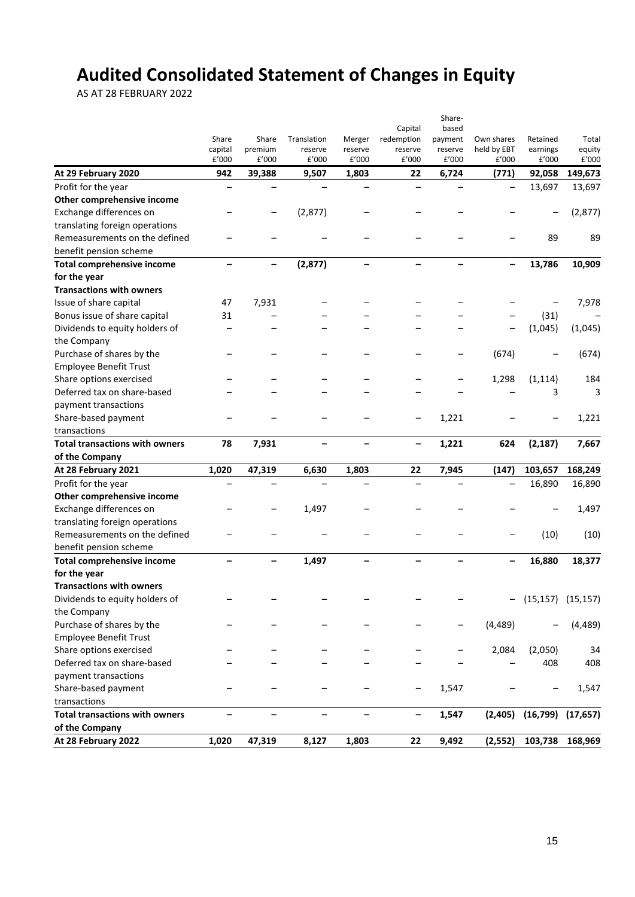# **Audited Consolidated Statement of Changes in Equity**

AS AT 28 FEBRUARY 2022

|                                       |                          |                  |                  |                          |                              | Share-            |                          |                       |                 |
|---------------------------------------|--------------------------|------------------|------------------|--------------------------|------------------------------|-------------------|--------------------------|-----------------------|-----------------|
|                                       |                          |                  |                  |                          | Capital                      | based             |                          |                       |                 |
|                                       | Share                    | Share            | Translation      | Merger                   | redemption                   | payment           | Own shares               | Retained              | Total           |
|                                       | capital<br>£'000         | premium<br>£'000 | reserve<br>£'000 | reserve<br>£'000         | reserve<br>£'000             | reserve<br>£'000  | held by EBT<br>£'000     | earnings<br>£'000     | equity<br>£'000 |
| At 29 February 2020                   | 942                      | 39,388           | 9,507            | 1,803                    | 22                           | 6,724             | (771)                    | 92,058                | 149,673         |
| Profit for the year                   | $\overline{\phantom{0}}$ |                  |                  |                          |                              |                   | $\overline{\phantom{0}}$ | 13,697                | 13,697          |
| Other comprehensive income            |                          |                  |                  |                          |                              |                   |                          |                       |                 |
| Exchange differences on               |                          |                  | (2,877)          |                          |                              |                   |                          |                       | (2,877)         |
| translating foreign operations        |                          |                  |                  |                          |                              |                   |                          |                       |                 |
| Remeasurements on the defined         |                          |                  |                  |                          |                              |                   |                          | 89                    | 89              |
| benefit pension scheme                |                          |                  |                  |                          |                              |                   |                          |                       |                 |
| <b>Total comprehensive income</b>     | $\overline{\phantom{0}}$ | -                | (2, 877)         | $\overline{\phantom{0}}$ | $\overline{\phantom{m}}$     | $\qquad \qquad -$ | $\qquad \qquad -$        | 13,786                | 10,909          |
| for the year                          |                          |                  |                  |                          |                              |                   |                          |                       |                 |
| <b>Transactions with owners</b>       |                          |                  |                  |                          |                              |                   |                          |                       |                 |
| Issue of share capital                | 47                       | 7,931            |                  |                          |                              |                   |                          |                       | 7,978           |
| Bonus issue of share capital          | 31                       |                  |                  |                          |                              |                   |                          | (31)                  |                 |
| Dividends to equity holders of        |                          |                  |                  |                          |                              |                   |                          | (1,045)               | (1,045)         |
| the Company                           |                          |                  |                  |                          |                              |                   |                          |                       |                 |
| Purchase of shares by the             |                          |                  |                  |                          |                              |                   | (674)                    |                       | (674)           |
| <b>Employee Benefit Trust</b>         |                          |                  |                  |                          |                              |                   |                          |                       |                 |
| Share options exercised               |                          |                  |                  |                          |                              |                   | 1,298                    | (1, 114)              | 184             |
| Deferred tax on share-based           |                          |                  |                  |                          |                              |                   |                          | 3                     | 3               |
| payment transactions                  |                          |                  |                  |                          |                              |                   |                          |                       |                 |
| Share-based payment                   |                          |                  |                  |                          |                              | 1,221             |                          |                       | 1,221           |
| transactions                          |                          |                  |                  |                          |                              |                   |                          |                       |                 |
| <b>Total transactions with owners</b> | 78                       | 7,931            |                  |                          | $\qquad \qquad \blacksquare$ | 1,221             | 624                      | (2, 187)              | 7,667           |
| of the Company                        |                          |                  |                  |                          |                              |                   |                          |                       |                 |
| At 28 February 2021                   | 1,020                    | 47,319           | 6,630            | 1,803                    | 22                           | 7,945             | (147)                    | 103,657               | 168,249         |
| Profit for the year                   |                          |                  |                  |                          |                              |                   | $\qquad \qquad -$        | 16,890                | 16,890          |
| Other comprehensive income            |                          |                  |                  |                          |                              |                   |                          |                       |                 |
| Exchange differences on               |                          |                  | 1,497            |                          |                              |                   |                          |                       | 1,497           |
| translating foreign operations        |                          |                  |                  |                          |                              |                   |                          |                       |                 |
| Remeasurements on the defined         |                          |                  |                  |                          |                              |                   |                          | (10)                  | (10)            |
| benefit pension scheme                |                          |                  |                  |                          |                              |                   |                          |                       |                 |
| <b>Total comprehensive income</b>     | -                        |                  | 1,497            |                          |                              |                   | $\overline{\phantom{0}}$ | 16,880                | 18,377          |
| for the year                          |                          |                  |                  |                          |                              |                   |                          |                       |                 |
| <b>Transactions with owners</b>       |                          |                  |                  |                          |                              |                   |                          |                       |                 |
| Dividends to equity holders of        |                          |                  |                  |                          |                              |                   |                          | $-$ (15,157) (15,157) |                 |
| the Company                           |                          |                  |                  |                          |                              |                   |                          |                       |                 |
| Purchase of shares by the             |                          |                  |                  |                          |                              |                   | (4, 489)                 |                       | (4, 489)        |
| <b>Employee Benefit Trust</b>         |                          |                  |                  |                          |                              |                   |                          |                       |                 |
| Share options exercised               |                          |                  |                  |                          |                              |                   | 2,084                    | (2,050)               | 34              |
| Deferred tax on share-based           |                          |                  |                  |                          |                              |                   |                          | 408                   | 408             |
| payment transactions                  |                          |                  |                  |                          |                              |                   |                          |                       |                 |
| Share-based payment                   |                          |                  |                  |                          |                              | 1,547             |                          |                       | 1,547           |
| transactions                          |                          |                  |                  |                          |                              |                   |                          |                       |                 |
| <b>Total transactions with owners</b> | $\overline{\phantom{0}}$ |                  |                  |                          | $\qquad \qquad -$            | 1,547             | (2,405)                  | (16, 799)             | (17, 657)       |
| of the Company                        |                          |                  |                  |                          |                              |                   |                          |                       |                 |
| At 28 February 2022                   | 1,020                    | 47,319           | 8,127            | 1,803                    | 22                           | 9,492             | (2, 552)                 | 103,738               | 168,969         |
|                                       |                          |                  |                  |                          |                              |                   |                          |                       |                 |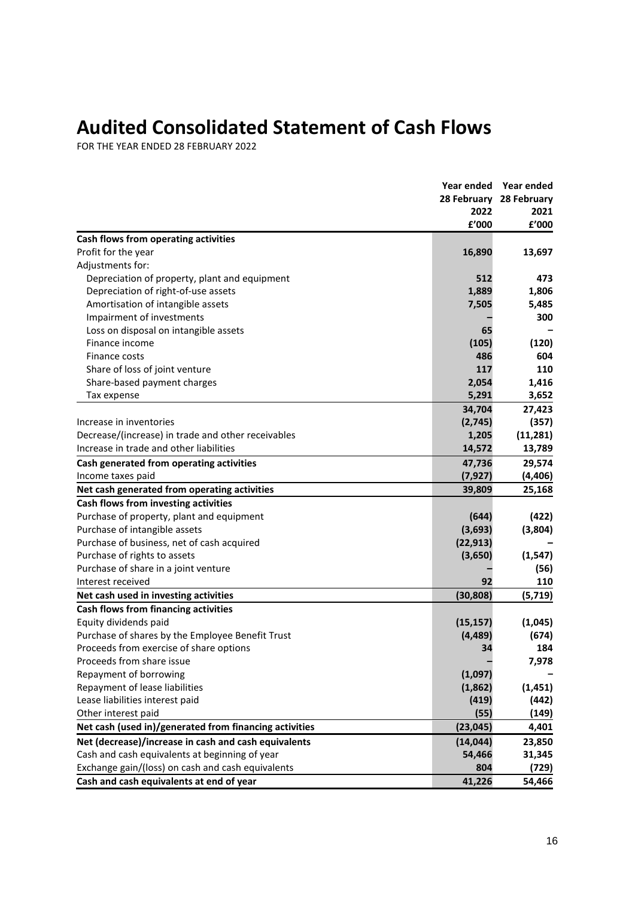# **Audited Consolidated Statement of Cash Flows**

FOR THE YEAR ENDED 28 FEBRUARY 2022

|                                                        |           | Year ended Year ended   |
|--------------------------------------------------------|-----------|-------------------------|
|                                                        |           | 28 February 28 February |
|                                                        | 2022      | 2021                    |
|                                                        | £'000     | £'000                   |
| Cash flows from operating activities                   |           |                         |
| Profit for the year                                    | 16,890    | 13,697                  |
| Adjustments for:                                       |           |                         |
| Depreciation of property, plant and equipment          | 512       | 473                     |
| Depreciation of right-of-use assets                    | 1,889     | 1,806                   |
| Amortisation of intangible assets                      | 7,505     | 5,485                   |
| Impairment of investments                              |           | 300                     |
| Loss on disposal on intangible assets                  | 65        |                         |
| Finance income                                         | (105)     | (120)                   |
| Finance costs                                          | 486       | 604                     |
| Share of loss of joint venture                         | 117       | 110                     |
| Share-based payment charges                            | 2,054     | 1,416                   |
| Tax expense                                            | 5,291     | 3,652                   |
|                                                        | 34,704    | 27,423                  |
| Increase in inventories                                | (2,745)   | (357)                   |
| Decrease/(increase) in trade and other receivables     | 1,205     | (11, 281)               |
| Increase in trade and other liabilities                | 14,572    | 13,789                  |
| Cash generated from operating activities               | 47,736    | 29,574                  |
| Income taxes paid                                      | (7, 927)  | (4, 406)                |
| Net cash generated from operating activities           | 39,809    | 25,168                  |
| Cash flows from investing activities                   |           |                         |
| Purchase of property, plant and equipment              | (644)     | (422)                   |
| Purchase of intangible assets                          | (3,693)   | (3,804)                 |
| Purchase of business, net of cash acquired             | (22, 913) |                         |
| Purchase of rights to assets                           | (3,650)   | (1, 547)                |
| Purchase of share in a joint venture                   |           | (56)                    |
| Interest received                                      | 92        | 110                     |
| Net cash used in investing activities                  | (30, 808) | (5, 719)                |
| Cash flows from financing activities                   |           |                         |
| Equity dividends paid                                  | (15, 157) | (1,045)                 |
| Purchase of shares by the Employee Benefit Trust       | (4, 489)  | (674)                   |
| Proceeds from exercise of share options                | 34        | 184                     |
| Proceeds from share issue                              |           | 7,978                   |
| Repayment of borrowing                                 | (1,097)   |                         |
| Repayment of lease liabilities                         | (1,862)   | (1, 451)                |
| Lease liabilities interest paid                        | (419)     | (442)                   |
| Other interest paid                                    | (55)      | (149)                   |
| Net cash (used in)/generated from financing activities | (23, 045) | 4,401                   |
| Net (decrease)/increase in cash and cash equivalents   | (14, 044) | 23,850                  |
| Cash and cash equivalents at beginning of year         | 54,466    | 31,345                  |
| Exchange gain/(loss) on cash and cash equivalents      | 804       | (729)                   |
| Cash and cash equivalents at end of year               | 41,226    | 54,466                  |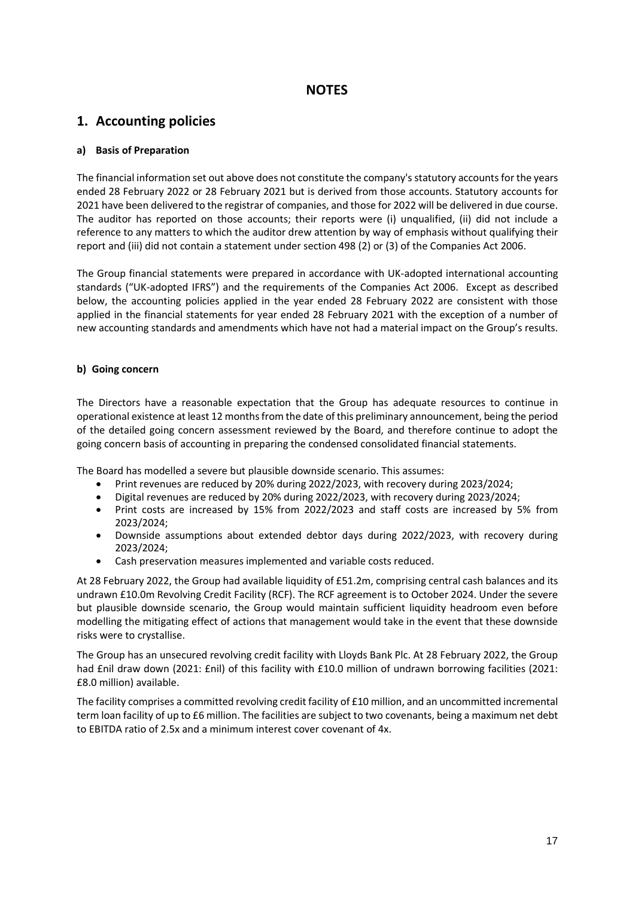## **NOTES**

# **1. Accounting policies**

### **a) Basis of Preparation**

The financial information set out above does not constitute the company's statutory accounts for the years ended 28 February 2022 or 28 February 2021 but is derived from those accounts. Statutory accounts for 2021 have been delivered to the registrar of companies, and those for 2022 will be delivered in due course. The auditor has reported on those accounts; their reports were (i) unqualified, (ii) did not include a reference to any matters to which the auditor drew attention by way of emphasis without qualifying their report and (iii) did not contain a statement under section 498 (2) or (3) of the Companies Act 2006.

The Group financial statements were prepared in accordance with UK-adopted international accounting standards ("UK-adopted IFRS") and the requirements of the Companies Act 2006. Except as described below, the accounting policies applied in the year ended 28 February 2022 are consistent with those applied in the financial statements for year ended 28 February 2021 with the exception of a number of new accounting standards and amendments which have not had a material impact on the Group's results.

### **b) Going concern**

The Directors have a reasonable expectation that the Group has adequate resources to continue in operational existence at least 12 months from the date of this preliminary announcement, being the period of the detailed going concern assessment reviewed by the Board, and therefore continue to adopt the going concern basis of accounting in preparing the condensed consolidated financial statements.

The Board has modelled a severe but plausible downside scenario. This assumes:

- Print revenues are reduced by 20% during 2022/2023, with recovery during 2023/2024;
- Digital revenues are reduced by 20% during 2022/2023, with recovery during 2023/2024;
- Print costs are increased by 15% from 2022/2023 and staff costs are increased by 5% from 2023/2024;
- Downside assumptions about extended debtor days during 2022/2023, with recovery during 2023/2024;
- Cash preservation measures implemented and variable costs reduced.

At 28 February 2022, the Group had available liquidity of £51.2m, comprising central cash balances and its undrawn £10.0m Revolving Credit Facility (RCF). The RCF agreement is to October 2024. Under the severe but plausible downside scenario, the Group would maintain sufficient liquidity headroom even before modelling the mitigating effect of actions that management would take in the event that these downside risks were to crystallise.

The Group has an unsecured revolving credit facility with Lloyds Bank Plc. At 28 February 2022, the Group had £nil draw down (2021: £nil) of this facility with £10.0 million of undrawn borrowing facilities (2021: £8.0 million) available.

The facility comprises a committed revolving credit facility of £10 million, and an uncommitted incremental term loan facility of up to £6 million. The facilities are subject to two covenants, being a maximum net debt to EBITDA ratio of 2.5x and a minimum interest cover covenant of 4x.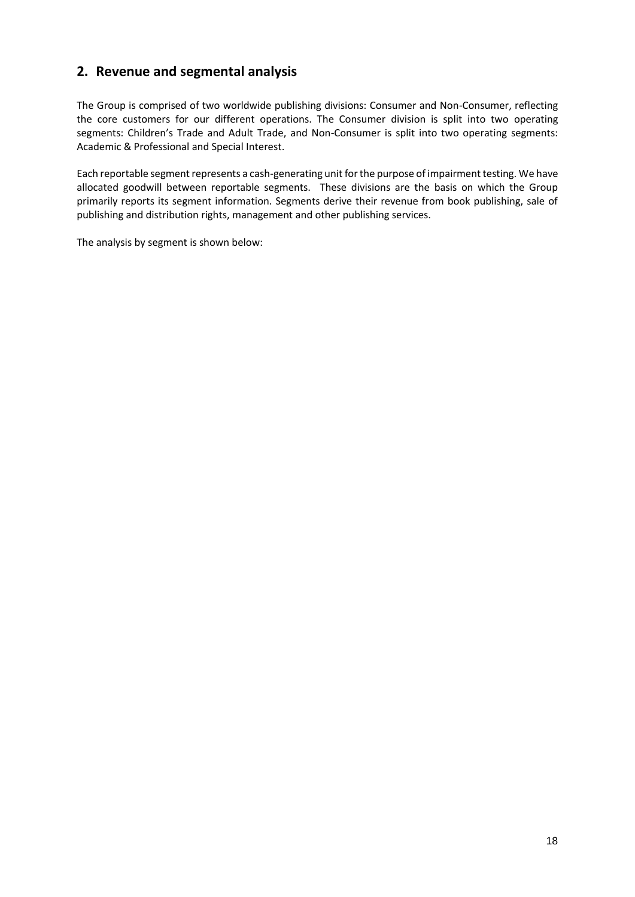# **2. Revenue and segmental analysis**

The Group is comprised of two worldwide publishing divisions: Consumer and Non-Consumer, reflecting the core customers for our different operations. The Consumer division is split into two operating segments: Children's Trade and Adult Trade, and Non-Consumer is split into two operating segments: Academic & Professional and Special Interest.

Each reportable segment represents a cash-generating unit for the purpose of impairment testing. We have allocated goodwill between reportable segments. These divisions are the basis on which the Group primarily reports its segment information. Segments derive their revenue from book publishing, sale of publishing and distribution rights, management and other publishing services.

The analysis by segment is shown below: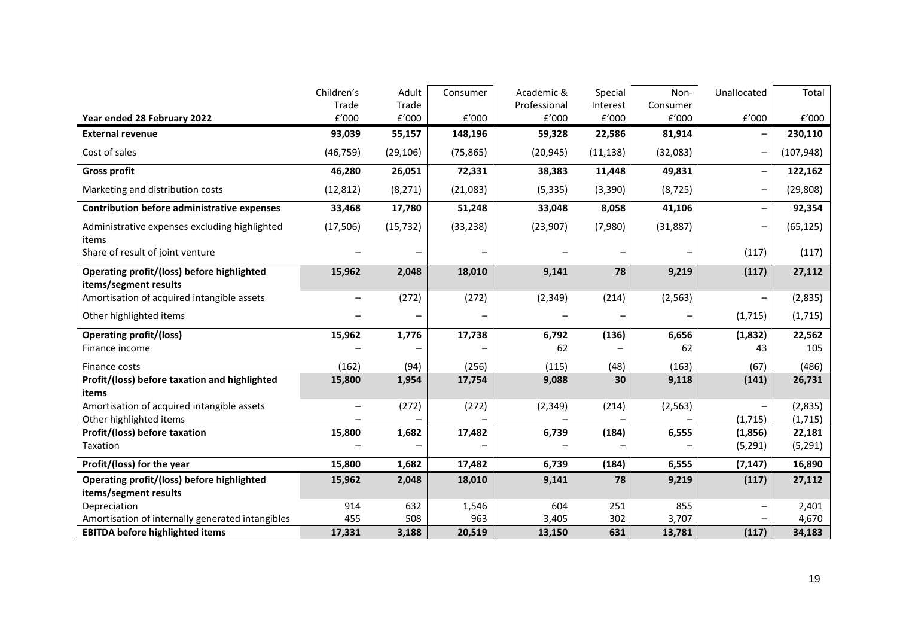|                                                                     | Children's | Adult     | Consumer  | Academic &   | Special   | Non-      | Unallocated              | Total      |
|---------------------------------------------------------------------|------------|-----------|-----------|--------------|-----------|-----------|--------------------------|------------|
|                                                                     | Trade      | Trade     |           | Professional | Interest  | Consumer  |                          |            |
| Year ended 28 February 2022                                         | f'000      | f'000     | f'000     | E'000        | E'000     | f'000     | f'000                    | f'000      |
| <b>External revenue</b>                                             | 93,039     | 55,157    | 148,196   | 59,328       | 22,586    | 81,914    |                          | 230,110    |
| Cost of sales                                                       | (46, 759)  | (29, 106) | (75, 865) | (20, 945)    | (11, 138) | (32,083)  | -                        | (107, 948) |
| <b>Gross profit</b>                                                 | 46,280     | 26,051    | 72,331    | 38,383       | 11,448    | 49,831    | -                        | 122,162    |
| Marketing and distribution costs                                    | (12, 812)  | (8, 271)  | (21,083)  | (5, 335)     | (3, 390)  | (8, 725)  | $\overline{\phantom{0}}$ | (29, 808)  |
| <b>Contribution before administrative expenses</b>                  | 33,468     | 17,780    | 51,248    | 33,048       | 8,058     | 41,106    | $\qquad \qquad -$        | 92,354     |
| Administrative expenses excluding highlighted<br>items              | (17, 506)  | (15, 732) | (33, 238) | (23, 907)    | (7,980)   | (31, 887) | $\overline{\phantom{0}}$ | (65, 125)  |
| Share of result of joint venture                                    |            |           |           |              |           |           | (117)                    | (117)      |
| Operating profit/(loss) before highlighted                          | 15,962     | 2,048     | 18,010    | 9,141        | 78        | 9,219     | (117)                    | 27,112     |
| items/segment results<br>Amortisation of acquired intangible assets |            | (272)     | (272)     | (2, 349)     | (214)     | (2, 563)  |                          | (2,835)    |
| Other highlighted items                                             |            |           |           |              |           |           | (1, 715)                 | (1,715)    |
| <b>Operating profit/(loss)</b>                                      | 15,962     | 1,776     | 17,738    | 6,792        | (136)     | 6,656     | (1,832)                  | 22,562     |
| Finance income                                                      |            |           |           | 62           |           | 62        | 43                       | 105        |
| Finance costs                                                       | (162)      | (94)      | (256)     | (115)        | (48)      | (163)     | (67)                     | (486)      |
| Profit/(loss) before taxation and highlighted                       | 15,800     | 1,954     | 17,754    | 9,088        | 30        | 9,118     | (141)                    | 26,731     |
| items                                                               |            |           |           |              |           |           |                          |            |
| Amortisation of acquired intangible assets                          |            | (272)     | (272)     | (2, 349)     | (214)     | (2, 563)  |                          | (2,835)    |
| Other highlighted items                                             |            |           |           |              |           |           | (1, 715)                 | (1, 715)   |
| Profit/(loss) before taxation                                       | 15,800     | 1,682     | 17,482    | 6,739        | (184)     | 6,555     | (1,856)                  | 22,181     |
| Taxation                                                            |            |           |           |              |           |           | (5, 291)                 | (5, 291)   |
| Profit/(loss) for the year                                          | 15,800     | 1,682     | 17,482    | 6,739        | (184)     | 6,555     | (7, 147)                 | 16,890     |
| Operating profit/(loss) before highlighted                          | 15,962     | 2,048     | 18,010    | 9,141        | 78        | 9,219     | (117)                    | 27,112     |
| items/segment results                                               |            |           |           |              |           |           |                          |            |
| Depreciation                                                        | 914        | 632       | 1,546     | 604          | 251       | 855       | $\overline{\phantom{0}}$ | 2,401      |
| Amortisation of internally generated intangibles                    | 455        | 508       | 963       | 3,405        | 302       | 3,707     |                          | 4,670      |
| <b>EBITDA before highlighted items</b>                              | 17,331     | 3,188     | 20,519    | 13,150       | 631       | 13,781    | (117)                    | 34,183     |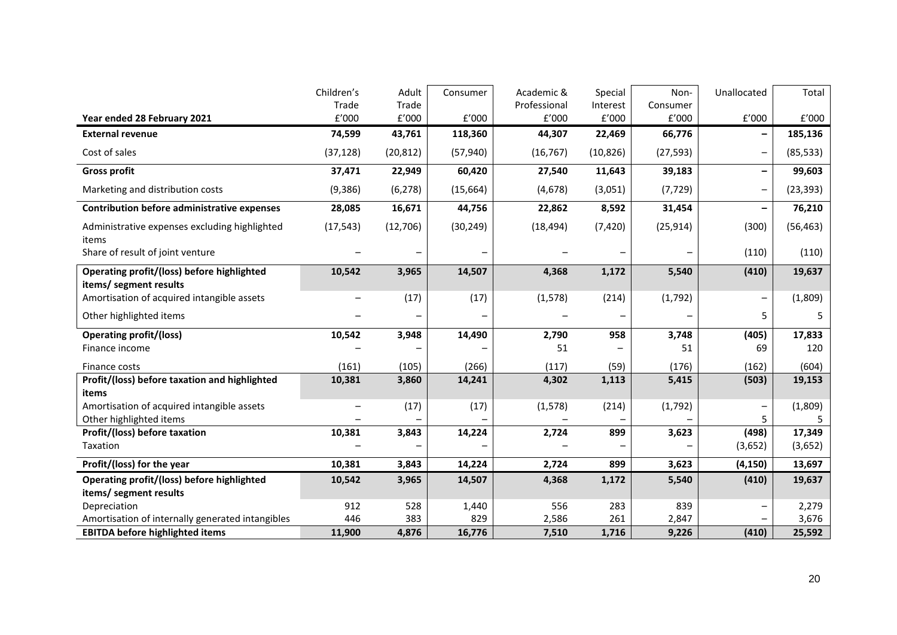|                                                                      | Children's | Adult     | Consumer  | Academic &   | Special   | Non-      | Unallocated              | Total     |
|----------------------------------------------------------------------|------------|-----------|-----------|--------------|-----------|-----------|--------------------------|-----------|
|                                                                      | Trade      | Trade     |           | Professional | Interest  | Consumer  |                          |           |
| Year ended 28 February 2021                                          | E'000      | f'000     | f'000     | f'000        | E'000     | E'000     | f'000                    | f'000     |
| <b>External revenue</b>                                              | 74,599     | 43,761    | 118,360   | 44,307       | 22,469    | 66,776    |                          | 185,136   |
| Cost of sales                                                        | (37, 128)  | (20, 812) | (57, 940) | (16, 767)    | (10, 826) | (27, 593) | -                        | (85, 533) |
| <b>Gross profit</b>                                                  | 37,471     | 22,949    | 60,420    | 27,540       | 11,643    | 39,183    | -                        | 99,603    |
| Marketing and distribution costs                                     | (9, 386)   | (6, 278)  | (15, 664) | (4, 678)     | (3,051)   | (7, 729)  | $\overline{\phantom{0}}$ | (23, 393) |
| <b>Contribution before administrative expenses</b>                   | 28,085     | 16,671    | 44,756    | 22,862       | 8,592     | 31,454    | -                        | 76,210    |
| Administrative expenses excluding highlighted<br>items               | (17, 543)  | (12,706)  | (30, 249) | (18, 494)    | (7, 420)  | (25, 914) | (300)                    | (56, 463) |
| Share of result of joint venture                                     |            |           |           |              |           |           | (110)                    | (110)     |
| Operating profit/(loss) before highlighted                           | 10,542     | 3,965     | 14,507    | 4,368        | 1,172     | 5,540     | (410)                    | 19,637    |
| items/ segment results<br>Amortisation of acquired intangible assets |            | (17)      | (17)      | (1, 578)     | (214)     | (1,792)   | -                        | (1,809)   |
| Other highlighted items                                              |            |           |           |              |           |           | 5                        | 5         |
|                                                                      |            |           |           |              |           |           |                          |           |
| <b>Operating profit/(loss)</b>                                       | 10,542     | 3,948     | 14,490    | 2,790        | 958       | 3,748     | (405)                    | 17,833    |
| Finance income                                                       |            |           |           | 51           |           | 51        | 69                       | 120       |
| Finance costs                                                        | (161)      | (105)     | (266)     | (117)        | (59)      | (176)     | (162)                    | (604)     |
| Profit/(loss) before taxation and highlighted                        | 10,381     | 3,860     | 14,241    | 4,302        | 1,113     | 5,415     | (503)                    | 19,153    |
| items                                                                |            |           |           |              |           |           |                          |           |
| Amortisation of acquired intangible assets                           |            | (17)      | (17)      | (1, 578)     | (214)     | (1,792)   |                          | (1,809)   |
| Other highlighted items                                              |            |           |           |              |           |           | 5                        |           |
| Profit/(loss) before taxation                                        | 10,381     | 3,843     | 14,224    | 2,724        | 899       | 3,623     | (498)                    | 17,349    |
| Taxation                                                             |            |           |           |              |           |           | (3,652)                  | (3,652)   |
| Profit/(loss) for the year                                           | 10,381     | 3,843     | 14,224    | 2,724        | 899       | 3,623     | (4, 150)                 | 13,697    |
| Operating profit/(loss) before highlighted                           | 10,542     | 3,965     | 14,507    | 4,368        | 1,172     | 5,540     | (410)                    | 19,637    |
| items/ segment results                                               |            |           |           |              |           |           |                          |           |
| Depreciation                                                         | 912        | 528       | 1,440     | 556          | 283       | 839       | $\overline{\phantom{0}}$ | 2,279     |
| Amortisation of internally generated intangibles                     | 446        | 383       | 829       | 2,586        | 261       | 2,847     |                          | 3,676     |
| <b>EBITDA before highlighted items</b>                               | 11,900     | 4,876     | 16,776    | 7,510        | 1,716     | 9,226     | (410)                    | 25,592    |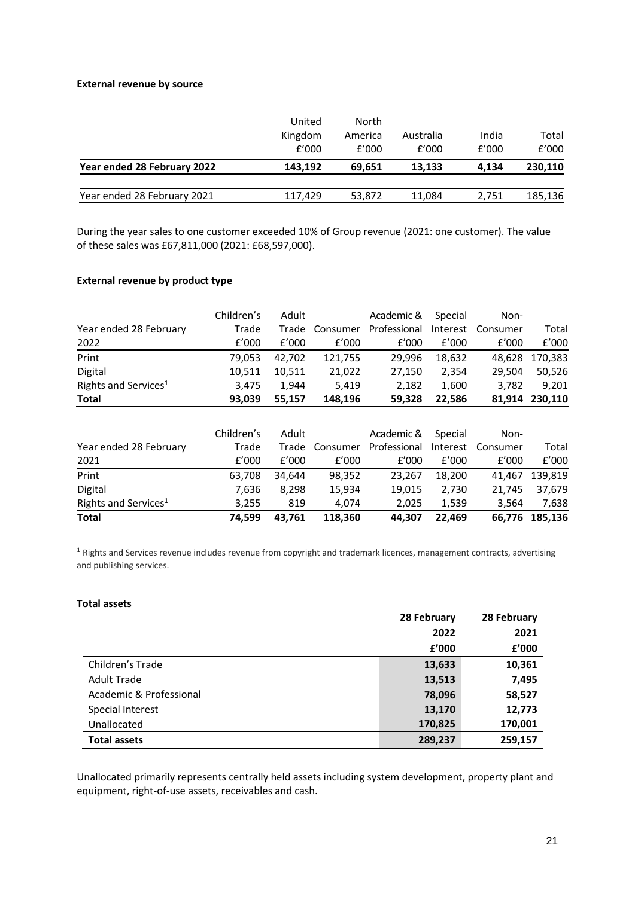### **External revenue by source**

|                             | United<br>Kingdom<br>f'000 | North<br>America<br>f'000 | Australia<br>f'000 | India<br>f'000 | Total<br>f'000 |
|-----------------------------|----------------------------|---------------------------|--------------------|----------------|----------------|
| Year ended 28 February 2022 | 143.192                    | 69.651                    | 13.133             | 4.134          | 230,110        |
| Year ended 28 February 2021 | 117,429                    | 53,872                    | 11.084             | 2.751          | 185,136        |

During the year sales to one customer exceeded 10% of Group revenue (2021: one customer). The value of these sales was £67,811,000 (2021: £68,597,000).

### **External revenue by product type**

|                                  | Children's | Adult  |          | Academic &   | Special  | Non-     |         |
|----------------------------------|------------|--------|----------|--------------|----------|----------|---------|
| Year ended 28 February           | Trade      | Trade  | Consumer | Professional | Interest | Consumer | Total   |
| 2022                             | f'000      | f'000  | f'000    | £'000        | E'000    | f'000    | f'000   |
| Print                            | 79,053     | 42,702 | 121,755  | 29,996       | 18,632   | 48,628   | 170,383 |
| Digital                          | 10,511     | 10,511 | 21,022   | 27,150       | 2,354    | 29,504   | 50,526  |
| Rights and Services <sup>1</sup> | 3,475      | 1,944  | 5,419    | 2,182        | 1,600    | 3,782    | 9,201   |
| <b>Total</b>                     | 93,039     | 55,157 | 148,196  | 59,328       | 22,586   | 81,914   | 230,110 |
|                                  |            |        |          |              |          |          |         |
|                                  | Children's | Adult  |          | Academic &   | Special  | Non-     |         |
| Year ended 28 February           | Trade      | Trade  | Consumer | Professional | Interest | Consumer | Total   |
| 2021                             | f'000      | f'000  | f'000    | £'000        | f'000    | f'000    | E'000   |
| Print                            | 63,708     | 34,644 | 98,352   | 23,267       | 18,200   | 41.467   | 139,819 |
| Digital                          | 7,636      | 8,298  | 15,934   | 19,015       | 2,730    | 21,745   | 37,679  |
| Rights and Services <sup>1</sup> | 3,255      | 819    | 4,074    | 2,025        | 1,539    | 3,564    | 7,638   |
| <b>Total</b>                     | 74,599     | 43,761 | 118,360  | 44,307       | 22,469   | 66,776   | 185,136 |

<sup>1</sup> Rights and Services revenue includes revenue from copyright and trademark licences, management contracts, advertising and publishing services.

### **Total assets**

|                         | 28 February |         |  |  |
|-------------------------|-------------|---------|--|--|
|                         | 2022        | 2021    |  |  |
|                         | £'000       | f'000   |  |  |
| Children's Trade        | 13,633      | 10,361  |  |  |
| <b>Adult Trade</b>      | 13,513      | 7,495   |  |  |
| Academic & Professional | 78,096      | 58,527  |  |  |
| Special Interest        | 13,170      | 12,773  |  |  |
| Unallocated             | 170,825     | 170,001 |  |  |
| <b>Total assets</b>     | 289,237     | 259,157 |  |  |

Unallocated primarily represents centrally held assets including system development, property plant and equipment, right-of-use assets, receivables and cash.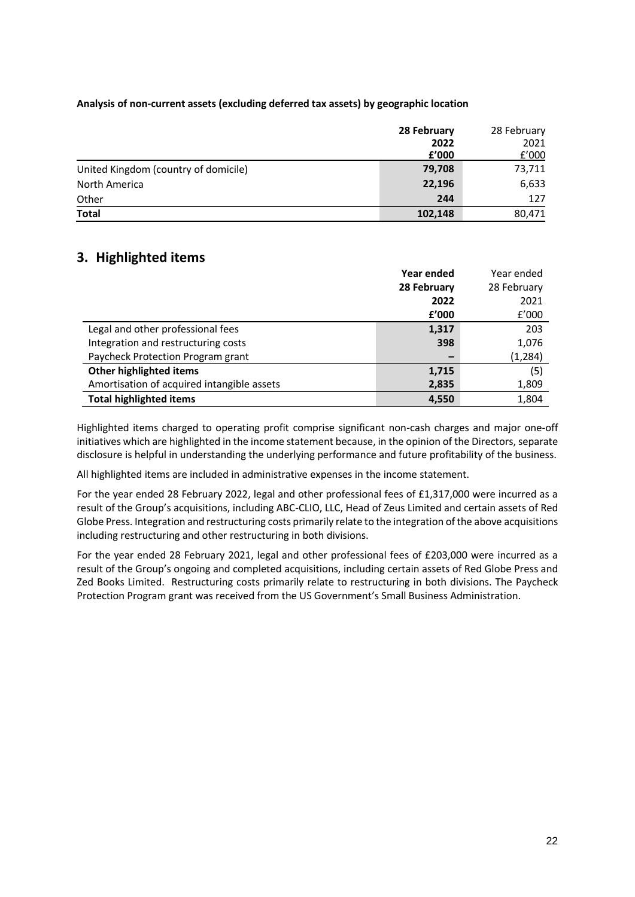### **Analysis of non-current assets (excluding deferred tax assets) by geographic location**

|                                      | 28 February | 28 February |
|--------------------------------------|-------------|-------------|
|                                      | 2022        | 2021        |
|                                      | f'000       | £'000       |
| United Kingdom (country of domicile) | 79,708      | 73,711      |
| North America                        | 22,196      | 6,633       |
| Other                                | 244         | 127         |
| <b>Total</b>                         | 102,148     | 80,471      |

# **3. Highlighted items**

|                                            | Year ended  | Year ended  |
|--------------------------------------------|-------------|-------------|
|                                            | 28 February | 28 February |
|                                            | 2022        | 2021        |
|                                            | £'000       | f'000       |
| Legal and other professional fees          | 1,317       | 203         |
| Integration and restructuring costs        | 398         | 1,076       |
| Paycheck Protection Program grant          |             | (1, 284)    |
| Other highlighted items                    | 1,715       | (5)         |
| Amortisation of acquired intangible assets | 2,835       | 1,809       |
| <b>Total highlighted items</b>             | 4,550       | 1,804       |

Highlighted items charged to operating profit comprise significant non-cash charges and major one-off initiatives which are highlighted in the income statement because, in the opinion of the Directors, separate disclosure is helpful in understanding the underlying performance and future profitability of the business.

All highlighted items are included in administrative expenses in the income statement.

For the year ended 28 February 2022, legal and other professional fees of £1,317,000 were incurred as a result of the Group's acquisitions, including ABC-CLIO, LLC, Head of Zeus Limited and certain assets of Red Globe Press. Integration and restructuring costs primarily relate to the integration of the above acquisitions including restructuring and other restructuring in both divisions.

For the year ended 28 February 2021, legal and other professional fees of £203,000 were incurred as a result of the Group's ongoing and completed acquisitions, including certain assets of Red Globe Press and Zed Books Limited. Restructuring costs primarily relate to restructuring in both divisions. The Paycheck Protection Program grant was received from the US Government's Small Business Administration.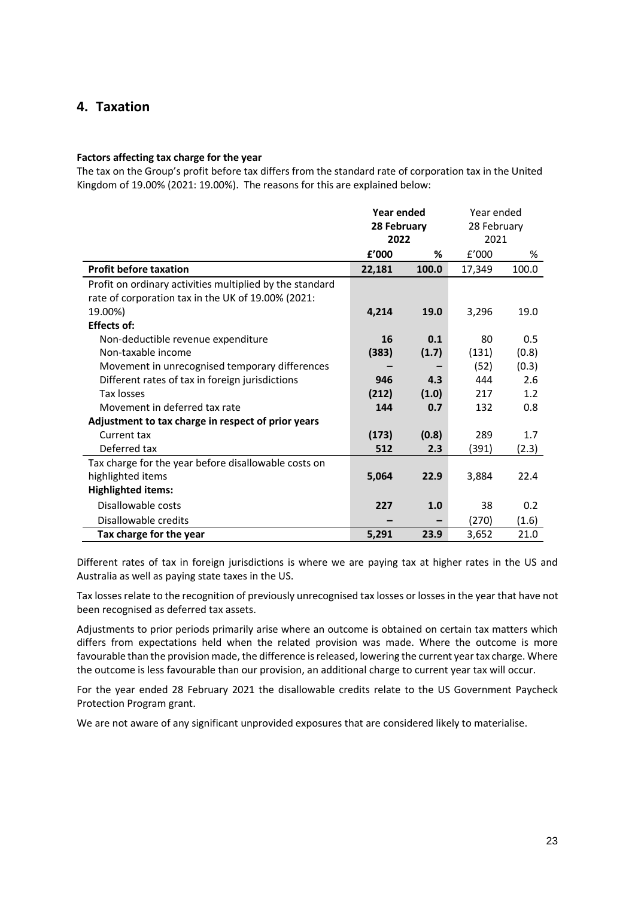## **4. Taxation**

### **Factors affecting tax charge for the year**

The tax on the Group's profit before tax differs from the standard rate of corporation tax in the United Kingdom of 19.00% (2021: 19.00%). The reasons for this are explained below:

|                                                          | <b>Year ended</b> |       | Year ended  |       |
|----------------------------------------------------------|-------------------|-------|-------------|-------|
|                                                          | 28 February       |       | 28 February |       |
|                                                          | 2022              |       | 2021        |       |
|                                                          | f'000             | ℅     | f'000       | %     |
| <b>Profit before taxation</b>                            | 22,181            | 100.0 | 17,349      | 100.0 |
| Profit on ordinary activities multiplied by the standard |                   |       |             |       |
| rate of corporation tax in the UK of 19.00% (2021:       |                   |       |             |       |
| 19.00%)                                                  | 4,214             | 19.0  | 3,296       | 19.0  |
| <b>Effects of:</b>                                       |                   |       |             |       |
| Non-deductible revenue expenditure                       | 16                | 0.1   | 80          | 0.5   |
| Non-taxable income                                       | (383)             | (1.7) | (131)       | (0.8) |
| Movement in unrecognised temporary differences           |                   |       | (52)        | (0.3) |
| Different rates of tax in foreign jurisdictions          | 946               | 4.3   | 444         | 2.6   |
| Tax losses                                               | (212)             | (1.0) | 217         | 1.2   |
| Movement in deferred tax rate                            | 144               | 0.7   | 132         | 0.8   |
| Adjustment to tax charge in respect of prior years       |                   |       |             |       |
| Current tax                                              | (173)             | (0.8) | 289         | 1.7   |
| Deferred tax                                             | 512               | 2.3   | (391)       | (2.3) |
| Tax charge for the year before disallowable costs on     |                   |       |             |       |
| highlighted items                                        | 5,064             | 22.9  | 3,884       | 22.4  |
| <b>Highlighted items:</b>                                |                   |       |             |       |
| Disallowable costs                                       | 227               | 1.0   | 38          | 0.2   |
| Disallowable credits                                     |                   |       | (270)       | (1.6) |
| Tax charge for the year                                  | 5,291             | 23.9  | 3,652       | 21.0  |

Different rates of tax in foreign jurisdictions is where we are paying tax at higher rates in the US and Australia as well as paying state taxes in the US.

Tax losses relate to the recognition of previously unrecognised tax losses or losses in the year that have not been recognised as deferred tax assets.

Adjustments to prior periods primarily arise where an outcome is obtained on certain tax matters which differs from expectations held when the related provision was made. Where the outcome is more favourable than the provision made, the difference is released, lowering the current year tax charge. Where the outcome is less favourable than our provision, an additional charge to current year tax will occur.

For the year ended 28 February 2021 the disallowable credits relate to the US Government Paycheck Protection Program grant.

We are not aware of any significant unprovided exposures that are considered likely to materialise.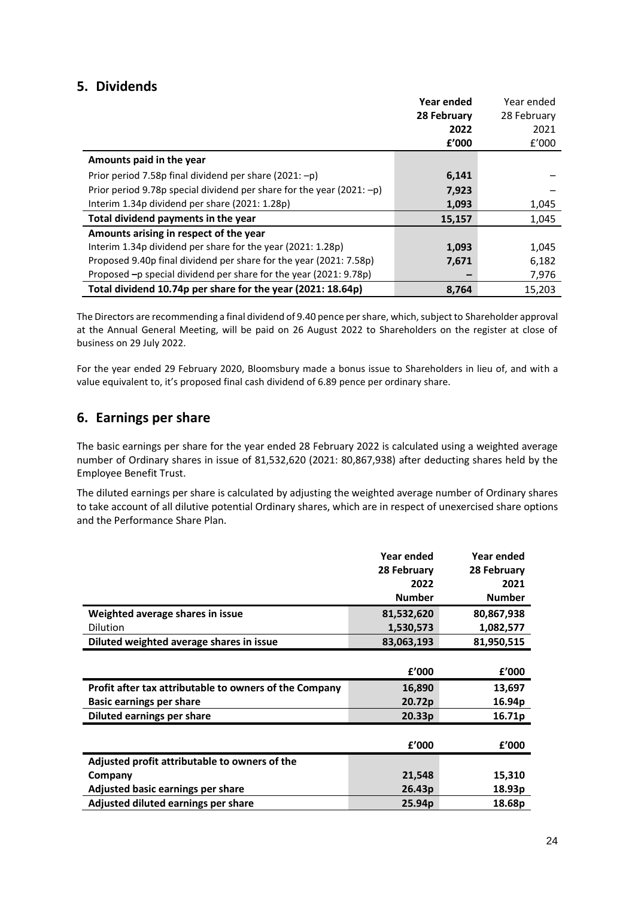# **5. Dividends**

|                                                                          | Year ended  | Year ended  |
|--------------------------------------------------------------------------|-------------|-------------|
|                                                                          | 28 February | 28 February |
|                                                                          | 2022        | 2021        |
|                                                                          | f'000       | f'000       |
| Amounts paid in the year                                                 |             |             |
| Prior period 7.58p final dividend per share (2021: -p)                   | 6,141       |             |
| Prior period 9.78p special dividend per share for the year (2021: $-p$ ) | 7,923       |             |
| Interim 1.34p dividend per share (2021: 1.28p)                           | 1,093       | 1,045       |
| Total dividend payments in the year                                      | 15,157      | 1,045       |
| Amounts arising in respect of the year                                   |             |             |
| Interim 1.34p dividend per share for the year (2021: 1.28p)              | 1,093       | 1,045       |
| Proposed 9.40p final dividend per share for the year (2021: 7.58p)       | 7,671       | 6,182       |
| Proposed -p special dividend per share for the year (2021: 9.78p)        |             | 7,976       |
| Total dividend 10.74p per share for the year (2021: 18.64p)              | 8,764       | 15.203      |

The Directors are recommending a final dividend of 9.40 pence per share, which, subject to Shareholder approval at the Annual General Meeting, will be paid on 26 August 2022 to Shareholders on the register at close of business on 29 July 2022.

For the year ended 29 February 2020, Bloomsbury made a bonus issue to Shareholders in lieu of, and with a value equivalent to, it's proposed final cash dividend of 6.89 pence per ordinary share.

# **6. Earnings per share**

The basic earnings per share for the year ended 28 February 2022 is calculated using a weighted average number of Ordinary shares in issue of 81,532,620 (2021: 80,867,938) after deducting shares held by the Employee Benefit Trust.

The diluted earnings per share is calculated by adjusting the weighted average number of Ordinary shares to take account of all dilutive potential Ordinary shares, which are in respect of unexercised share options and the Performance Share Plan.

|                                                        | Year ended         | Year ended    |
|--------------------------------------------------------|--------------------|---------------|
|                                                        | 28 February        | 28 February   |
|                                                        | 2022               | 2021          |
|                                                        | <b>Number</b>      | <b>Number</b> |
| Weighted average shares in issue                       | 81,532,620         | 80,867,938    |
| Dilution                                               | 1,530,573          | 1,082,577     |
| Diluted weighted average shares in issue               | 83,063,193         | 81,950,515    |
|                                                        |                    |               |
|                                                        | f'000              | £'000         |
| Profit after tax attributable to owners of the Company | 16,890             | 13,697        |
| Basic earnings per share                               | 20.72p             | 16.94p        |
| <b>Diluted earnings per share</b>                      | 20.33 <sub>p</sub> | 16.71p        |
|                                                        |                    |               |
|                                                        | £'000              | f'000         |
| Adjusted profit attributable to owners of the          |                    |               |
| Company                                                | 21,548             | 15,310        |
| Adjusted basic earnings per share                      | 26.43p             | 18.93p        |
| Adjusted diluted earnings per share                    | 25.94 <sub>p</sub> | 18.68p        |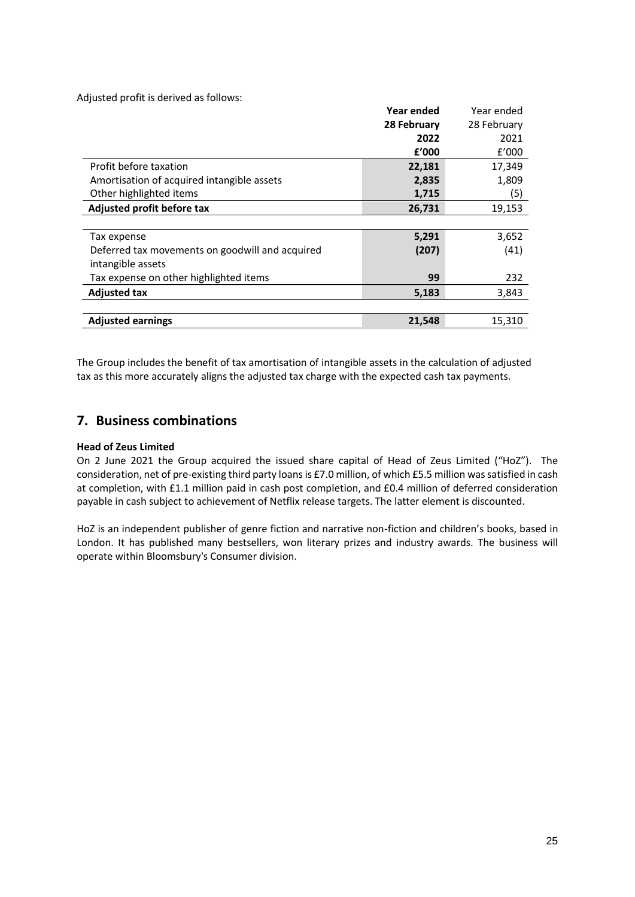Adjusted profit is derived as follows:

|                                                 | Year ended  | Year ended  |
|-------------------------------------------------|-------------|-------------|
|                                                 | 28 February | 28 February |
|                                                 | 2022        | 2021        |
|                                                 | £'000       | E'000       |
| Profit before taxation                          | 22,181      | 17,349      |
| Amortisation of acquired intangible assets      | 2,835       | 1,809       |
| Other highlighted items                         | 1,715       | (5)         |
| Adjusted profit before tax                      | 26,731      | 19,153      |
|                                                 |             |             |
| Tax expense                                     | 5,291       | 3,652       |
| Deferred tax movements on goodwill and acquired | (207)       | (41)        |
| intangible assets                               |             |             |
| Tax expense on other highlighted items          | 99          | 232         |
| <b>Adjusted tax</b>                             | 5,183       | 3,843       |
|                                                 |             |             |
| <b>Adjusted earnings</b>                        | 21,548      | 15,310      |

The Group includes the benefit of tax amortisation of intangible assets in the calculation of adjusted tax as this more accurately aligns the adjusted tax charge with the expected cash tax payments.

# **7. Business combinations**

### **Head of Zeus Limited**

On 2 June 2021 the Group acquired the issued share capital of Head of Zeus Limited ("HoZ"). The consideration, net of pre-existing third party loans is £7.0 million, of which £5.5 million was satisfied in cash at completion, with £1.1 million paid in cash post completion, and £0.4 million of deferred consideration payable in cash subject to achievement of Netflix release targets. The latter element is discounted.

HoZ is an independent publisher of genre fiction and narrative non-fiction and children's books, based in London. It has published many bestsellers, won literary prizes and industry awards. The business will operate within Bloomsbury's Consumer division.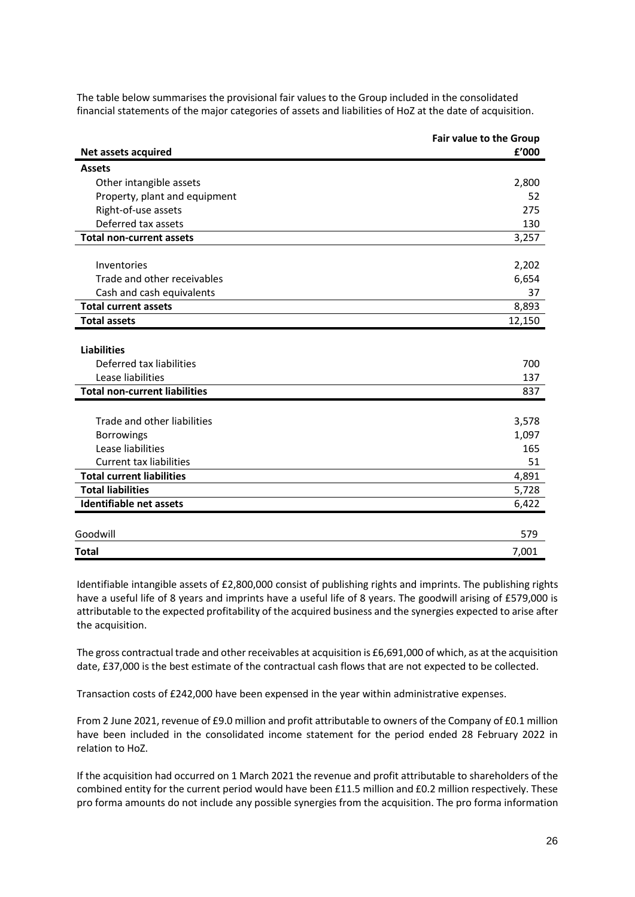|                                      | Fair value to the Group |
|--------------------------------------|-------------------------|
| Net assets acquired                  | £'000                   |
| <b>Assets</b>                        |                         |
| Other intangible assets              | 2,800                   |
| Property, plant and equipment        | 52                      |
| Right-of-use assets                  | 275                     |
| Deferred tax assets                  | 130                     |
| <b>Total non-current assets</b>      | 3,257                   |
|                                      |                         |
| Inventories                          | 2,202                   |
| Trade and other receivables          | 6,654                   |
| Cash and cash equivalents            | 37                      |
| <b>Total current assets</b>          | 8,893                   |
| <b>Total assets</b>                  | 12,150                  |
|                                      |                         |
| <b>Liabilities</b>                   |                         |
| Deferred tax liabilities             | 700                     |
| Lease liabilities                    | 137                     |
| <b>Total non-current liabilities</b> | 837                     |
|                                      |                         |
| Trade and other liabilities          | 3,578                   |
| <b>Borrowings</b>                    | 1,097                   |
| Lease liabilities                    | 165                     |
| <b>Current tax liabilities</b>       | 51                      |
| <b>Total current liabilities</b>     | 4,891                   |
| <b>Total liabilities</b>             | 5,728                   |
| <b>Identifiable net assets</b>       | 6,422                   |
|                                      |                         |
| Goodwill                             | 579                     |
| <b>Total</b>                         | 7,001                   |

The table below summarises the provisional fair values to the Group included in the consolidated financial statements of the major categories of assets and liabilities of HoZ at the date of acquisition.

Identifiable intangible assets of £2,800,000 consist of publishing rights and imprints. The publishing rights have a useful life of 8 years and imprints have a useful life of 8 years. The goodwill arising of £579,000 is attributable to the expected profitability of the acquired business and the synergies expected to arise after the acquisition.

The gross contractual trade and other receivables at acquisition is £6,691,000 of which, as at the acquisition date, £37,000 is the best estimate of the contractual cash flows that are not expected to be collected.

Transaction costs of £242,000 have been expensed in the year within administrative expenses.

From 2 June 2021, revenue of £9.0 million and profit attributable to owners of the Company of £0.1 million have been included in the consolidated income statement for the period ended 28 February 2022 in relation to HoZ.

If the acquisition had occurred on 1 March 2021 the revenue and profit attributable to shareholders of the combined entity for the current period would have been £11.5 million and £0.2 million respectively. These pro forma amounts do not include any possible synergies from the acquisition. The pro forma information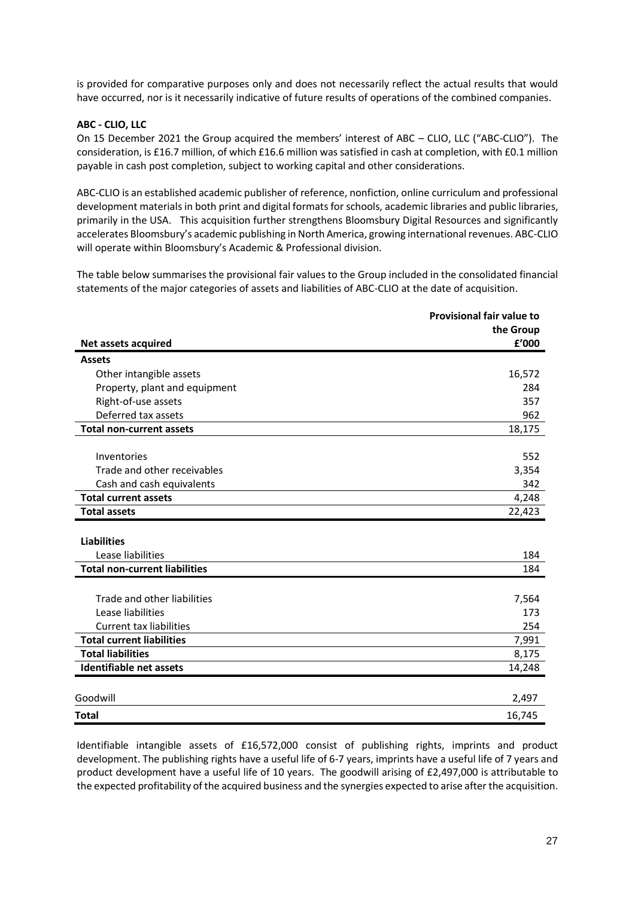is provided for comparative purposes only and does not necessarily reflect the actual results that would have occurred, nor is it necessarily indicative of future results of operations of the combined companies.

### **ABC - CLIO, LLC**

On 15 December 2021 the Group acquired the members' interest of ABC – CLIO, LLC ("ABC-CLIO"). The consideration, is £16.7 million, of which £16.6 million was satisfied in cash at completion, with £0.1 million payable in cash post completion, subject to working capital and other considerations.

ABC-CLIO is an established academic publisher of reference, nonfiction, online curriculum and professional development materials in both print and digital formats for schools, academic libraries and public libraries, primarily in the USA. This acquisition further strengthens Bloomsbury Digital Resources and significantly accelerates Bloomsbury's academic publishing in North America, growing international revenues. ABC-CLIO will operate within Bloomsbury's Academic & Professional division.

The table below summarises the provisional fair values to the Group included in the consolidated financial statements of the major categories of assets and liabilities of ABC-CLIO at the date of acquisition.

|                                      | <b>Provisional fair value to</b> |
|--------------------------------------|----------------------------------|
|                                      | the Group                        |
| Net assets acquired                  | £'000                            |
| <b>Assets</b>                        |                                  |
| Other intangible assets              | 16,572                           |
| Property, plant and equipment        | 284                              |
| Right-of-use assets                  | 357                              |
| Deferred tax assets                  | 962                              |
| <b>Total non-current assets</b>      | 18,175                           |
|                                      |                                  |
| Inventories                          | 552                              |
| Trade and other receivables          | 3,354                            |
| Cash and cash equivalents            | 342                              |
| <b>Total current assets</b>          | 4,248                            |
| <b>Total assets</b>                  | 22,423                           |
|                                      |                                  |
| <b>Liabilities</b>                   |                                  |
| Lease liabilities                    | 184                              |
| <b>Total non-current liabilities</b> | 184                              |
|                                      |                                  |
| Trade and other liabilities          | 7,564                            |
| Lease liabilities                    | 173                              |
| <b>Current tax liabilities</b>       | 254                              |
| <b>Total current liabilities</b>     | 7,991                            |
| <b>Total liabilities</b>             | 8,175                            |
| Identifiable net assets              | 14,248                           |
|                                      |                                  |
| Goodwill                             | 2,497                            |
| <b>Total</b>                         | 16,745                           |

Identifiable intangible assets of £16,572,000 consist of publishing rights, imprints and product development. The publishing rights have a useful life of 6-7 years, imprints have a useful life of 7 years and product development have a useful life of 10 years. The goodwill arising of £2,497,000 is attributable to the expected profitability of the acquired business and the synergies expected to arise after the acquisition.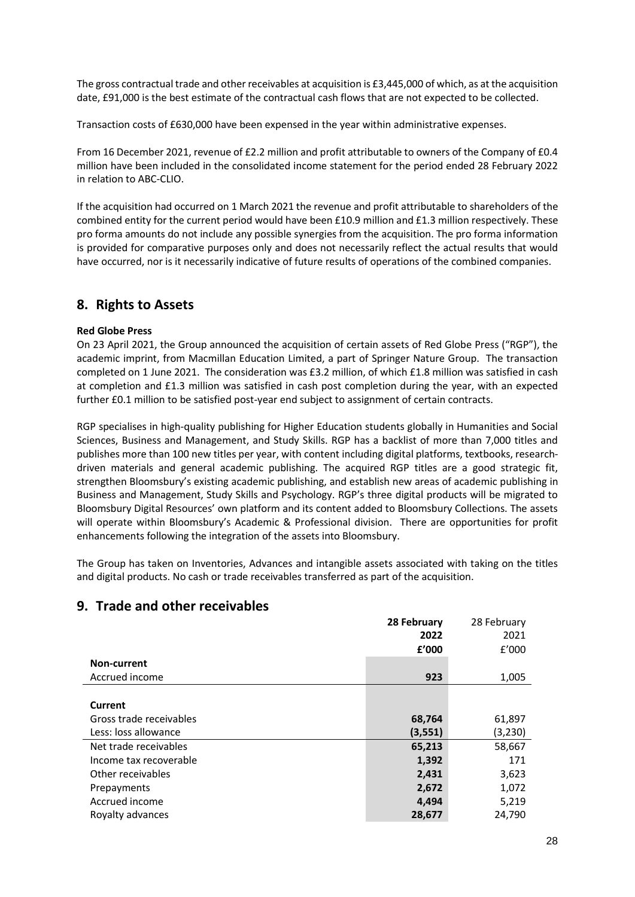The gross contractual trade and other receivables at acquisition is £3,445,000 of which, as at the acquisition date, £91,000 is the best estimate of the contractual cash flows that are not expected to be collected.

Transaction costs of £630,000 have been expensed in the year within administrative expenses.

From 16 December 2021, revenue of £2.2 million and profit attributable to owners of the Company of £0.4 million have been included in the consolidated income statement for the period ended 28 February 2022 in relation to ABC-CLIO.

If the acquisition had occurred on 1 March 2021 the revenue and profit attributable to shareholders of the combined entity for the current period would have been £10.9 million and £1.3 million respectively. These pro forma amounts do not include any possible synergies from the acquisition. The pro forma information is provided for comparative purposes only and does not necessarily reflect the actual results that would have occurred, nor is it necessarily indicative of future results of operations of the combined companies.

# **8. Rights to Assets**

### **Red Globe Press**

On 23 April 2021, the Group announced the acquisition of certain assets of Red Globe Press ("RGP"), the academic imprint, from Macmillan Education Limited, a part of Springer Nature Group. The transaction completed on 1 June 2021. The consideration was £3.2 million, of which £1.8 million was satisfied in cash at completion and £1.3 million was satisfied in cash post completion during the year, with an expected further £0.1 million to be satisfied post-year end subject to assignment of certain contracts.

RGP specialises in high-quality publishing for Higher Education students globally in Humanities and Social Sciences, Business and Management, and Study Skills. RGP has a backlist of more than 7,000 titles and publishes more than 100 new titles per year, with content including digital platforms, textbooks, researchdriven materials and general academic publishing. The acquired RGP titles are a good strategic fit, strengthen Bloomsbury's existing academic publishing, and establish new areas of academic publishing in Business and Management, Study Skills and Psychology. RGP's three digital products will be migrated to Bloomsbury Digital Resources' own platform and its content added to Bloomsbury Collections. The assets will operate within Bloomsbury's Academic & Professional division. There are opportunities for profit enhancements following the integration of the assets into Bloomsbury.

The Group has taken on Inventories, Advances and intangible assets associated with taking on the titles and digital products. No cash or trade receivables transferred as part of the acquisition.

|                         | 28 February | 28 February |
|-------------------------|-------------|-------------|
|                         | 2022        | 2021        |
|                         | £'000       | f'000       |
| Non-current             |             |             |
| Accrued income          | 923         | 1,005       |
|                         |             |             |
| Current                 |             |             |
| Gross trade receivables | 68,764      | 61,897      |
| Less: loss allowance    | (3, 551)    | (3,230)     |
| Net trade receivables   | 65,213      | 58,667      |
| Income tax recoverable  | 1,392       | 171         |
| Other receivables       | 2,431       | 3,623       |
| Prepayments             | 2,672       | 1,072       |
| Accrued income          | 4,494       | 5,219       |
| Royalty advances        | 28,677      | 24,790      |

# **9. Trade and other receivables**